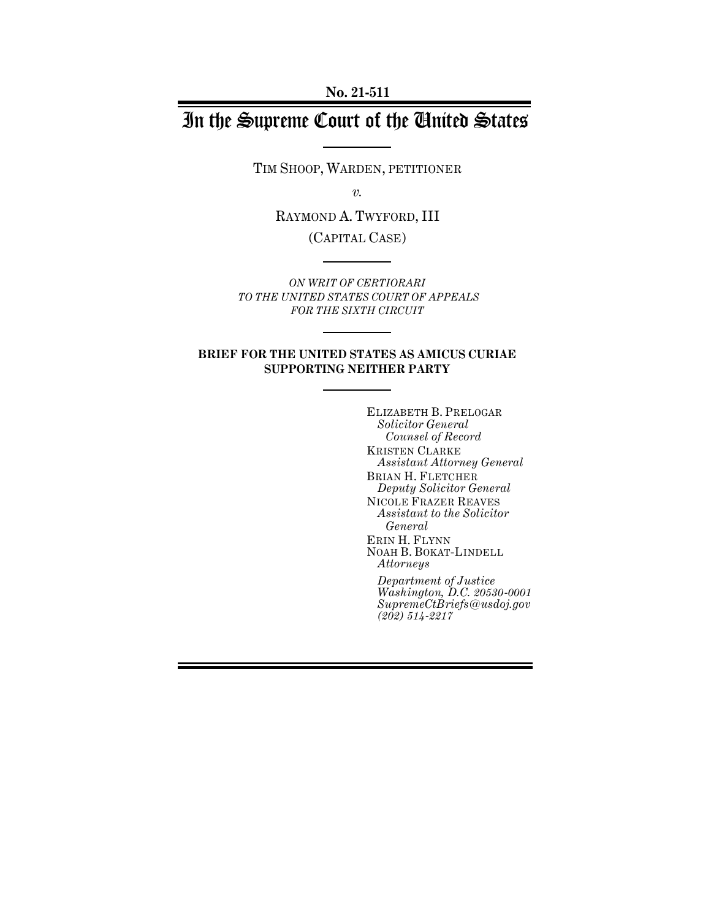**No. 21-511**

# In the Supreme Court of the United States

TIM SHOOP, WARDEN, PETITIONER

*v.*

RAYMOND A. TWYFORD, III (CAPITAL CASE)

*ON WRIT OF CERTIORARI TO THE UNITED STATES COURT OF APPEALS FOR THE SIXTH CIRCUIT*

#### **BRIEF FOR THE UNITED STATES AS AMICUS CURIAE SUPPORTING NEITHER PARTY**

ELIZABETH B. PRELOGAR *Solicitor General Counsel of Record* KRISTEN CLARKE *Assistant Attorney General* BRIAN H. FLETCHER *Deputy Solicitor General* NICOLE FRAZER REAVES *Assistant to the Solicitor General* ERIN H. FLYNN NOAH B. BOKAT-LINDELL *Attorneys Department of Justice*

*Washington, D.C. 20530-0001 SupremeCtBriefs@usdoj.gov (202) 514-2217*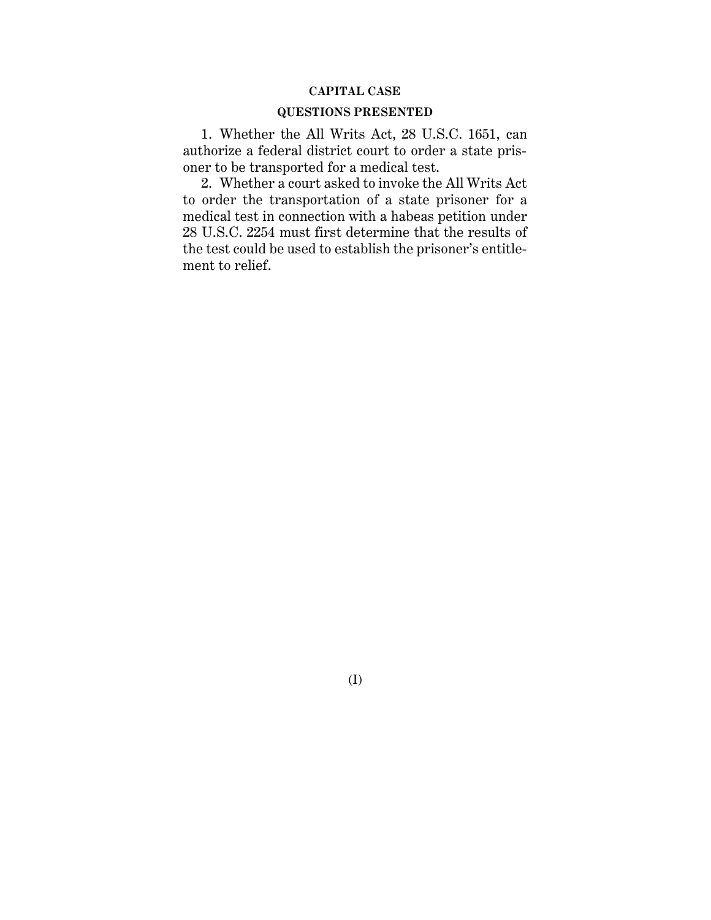### **CAPITAL CASE**

#### **QUESTIONS PRESENTED**

1. Whether the All Writs Act, 28 U.S.C. 1651, can authorize a federal district court to order a state prisoner to be transported for a medical test.

2. Whether a court asked to invoke the All Writs Act to order the transportation of a state prisoner for a medical test in connection with a habeas petition under 28 U.S.C. 2254 must first determine that the results of the test could be used to establish the prisoner's entitlement to relief.

(I)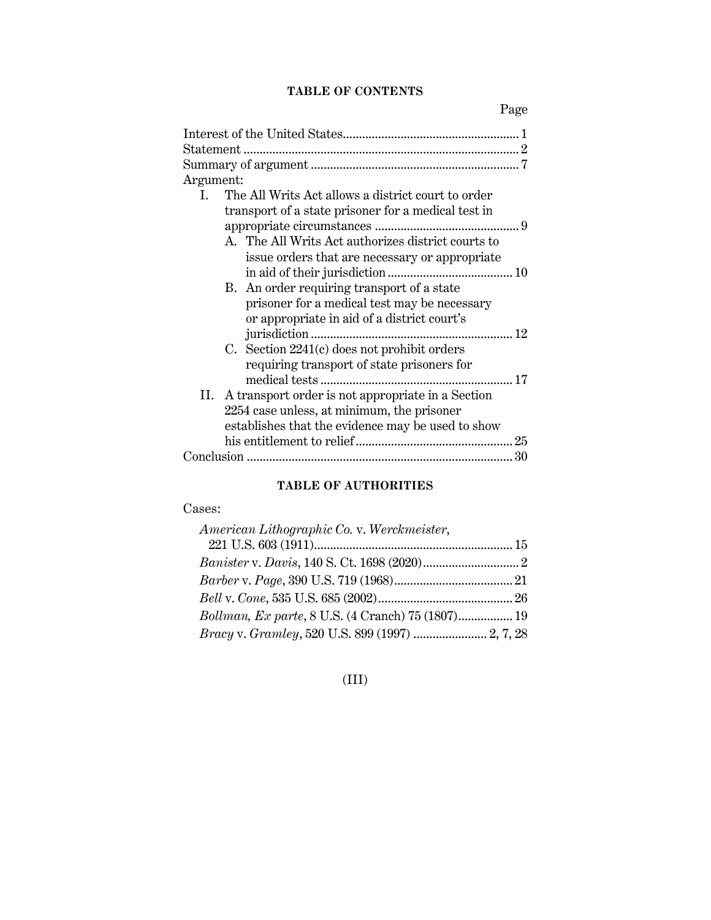## **TABLE OF CONTENTS**

Page

| Argument:                                                          |
|--------------------------------------------------------------------|
| The All Writs Act allows a district court to order<br>$\mathbf{L}$ |
| transport of a state prisoner for a medical test in                |
|                                                                    |
| A. The All Writs Act authorizes district courts to                 |
| issue orders that are necessary or appropriate                     |
|                                                                    |
| B. An order requiring transport of a state                         |
| prisoner for a medical test may be necessary                       |
| or appropriate in aid of a district court's                        |
|                                                                    |
| C. Section $2241(c)$ does not prohibit orders                      |
| requiring transport of state prisoners for                         |
|                                                                    |
| II. A transport order is not appropriate in a Section              |
| 2254 case unless, at minimum, the prisoner                         |
| establishes that the evidence may be used to show                  |
| 25                                                                 |
|                                                                    |

## **TABLE OF AUTHORITIES**

## Cases:

| American Lithographic Co. v. Werckmeister,             |  |
|--------------------------------------------------------|--|
|                                                        |  |
|                                                        |  |
|                                                        |  |
|                                                        |  |
| Bollman, Ex parte, 8 U.S. (4 Cranch) 75 (1807) 19      |  |
| <i>Bracy v. Gramley, 520 U.S. 899 (1997) </i> 2, 7, 28 |  |

## (III)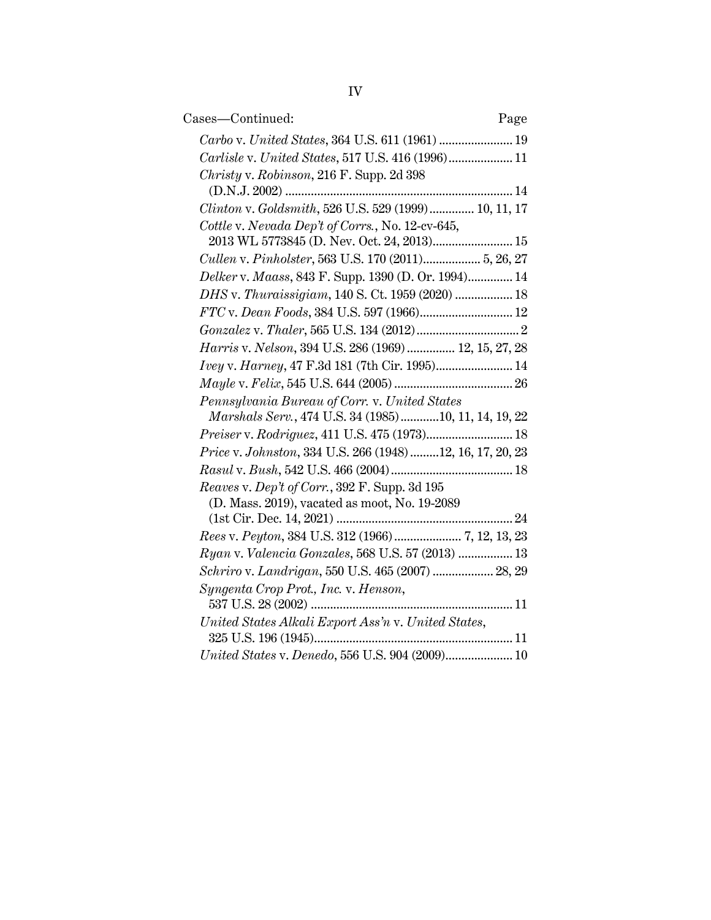| Cases—Continued:<br>Page                                 |
|----------------------------------------------------------|
|                                                          |
| Carlisle v. United States, 517 U.S. 416 (1996) 11        |
| Christy v. Robinson, 216 F. Supp. 2d 398                 |
|                                                          |
| Clinton v. Goldsmith, 526 U.S. 529 (1999) 10, 11, 17     |
| Cottle v. Nevada Dep't of Corrs., No. 12-cv-645,         |
| 2013 WL 5773845 (D. Nev. Oct. 24, 2013) 15               |
| Cullen v. Pinholster, 563 U.S. 170 (2011) 5, 26, 27      |
| Delker v. Maass, 843 F. Supp. 1390 (D. Or. 1994) 14      |
| DHS v. Thuraissigiam, 140 S. Ct. 1959 (2020)  18         |
| FTC v. Dean Foods, 384 U.S. 597 (1966) 12                |
|                                                          |
| Harris v. Nelson, 394 U.S. 286 (1969) 12, 15, 27, 28     |
| Ivey v. Harney, 47 F.3d 181 (7th Cir. 1995) 14           |
|                                                          |
| Pennsylvania Bureau of Corr. v. United States            |
| Marshals Serv., 474 U.S. 34 (1985)10, 11, 14, 19, 22     |
| Preiser v. Rodriguez, 411 U.S. 475 (1973) 18             |
| Price v. Johnston, 334 U.S. 266 (1948)12, 16, 17, 20, 23 |
|                                                          |
| Reaves v. Dep't of Corr., 392 F. Supp. 3d 195            |
| (D. Mass. 2019), vacated as moot, No. 19-2089            |
| 24                                                       |
|                                                          |
| Ryan v. Valencia Gonzales, 568 U.S. 57 (2013)  13        |
| Schriro v. Landrigan, 550 U.S. 465 (2007)  28, 29        |
| Syngenta Crop Prot., Inc. v. Henson,                     |
|                                                          |
| United States Alkali Export Ass'n v. United States,      |
| 11                                                       |
| United States v. Denedo, 556 U.S. 904 (2009) 10          |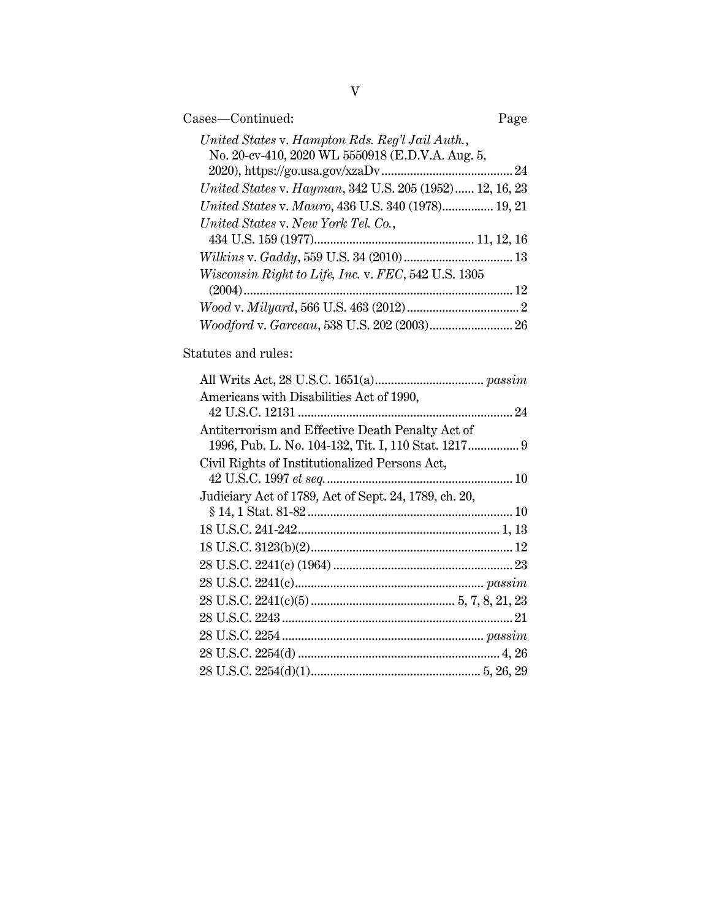| Cases—Continued:                                                                                    | Page |
|-----------------------------------------------------------------------------------------------------|------|
| United States v. Hampton Rds. Reg'l Jail Auth.,<br>No. 20-cv-410, 2020 WL 5550918 (E.D.V.A. Aug. 5, |      |
|                                                                                                     |      |
| United States v. Hayman, 342 U.S. 205 (1952) 12, 16, 23                                             |      |
| United States v. Mauro, 436 U.S. 340 (1978) 19, 21                                                  |      |
| United States v. New York Tel. Co.,                                                                 |      |
|                                                                                                     |      |
|                                                                                                     |      |
| Wisconsin Right to Life, Inc. v. FEC, 542 U.S. 1305                                                 |      |
|                                                                                                     |      |
|                                                                                                     |      |
|                                                                                                     |      |

## Statutes and rules:

| Americans with Disabilities Act of 1990,              |
|-------------------------------------------------------|
|                                                       |
| Antiterrorism and Effective Death Penalty Act of      |
|                                                       |
| Civil Rights of Institutionalized Persons Act,        |
|                                                       |
| Judiciary Act of 1789, Act of Sept. 24, 1789, ch. 20, |
|                                                       |
|                                                       |
|                                                       |
|                                                       |
|                                                       |
|                                                       |
|                                                       |
|                                                       |
|                                                       |
|                                                       |
|                                                       |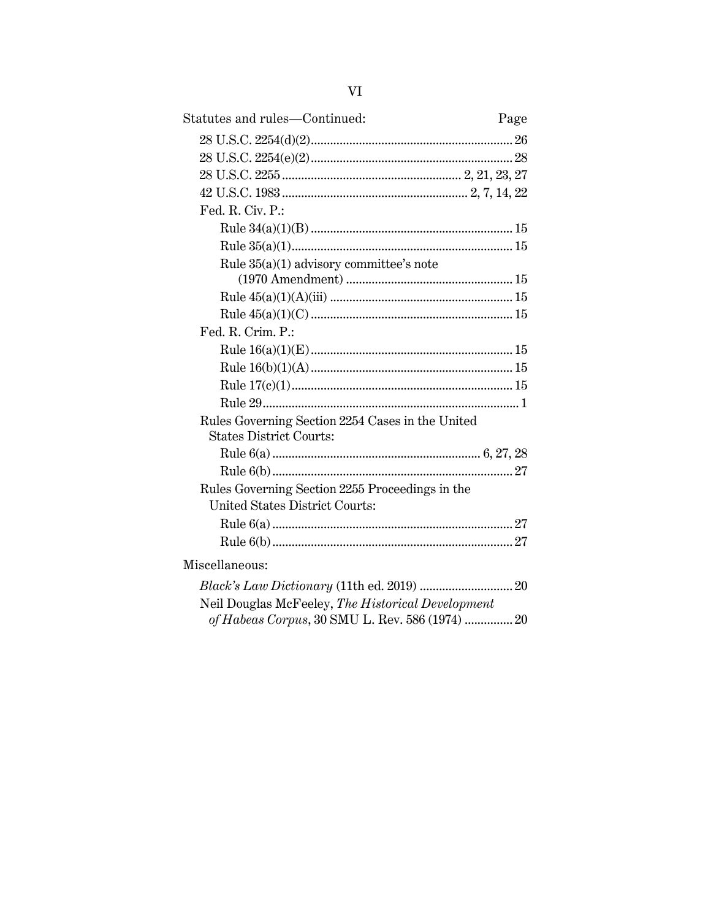| Statutes and rules-Continued:                                                            | Page |
|------------------------------------------------------------------------------------------|------|
|                                                                                          |      |
|                                                                                          |      |
|                                                                                          |      |
|                                                                                          |      |
| Fed. R. Civ. P.:                                                                         |      |
|                                                                                          |      |
|                                                                                          |      |
| Rule 35(a)(1) advisory committee's note                                                  |      |
|                                                                                          |      |
|                                                                                          |      |
|                                                                                          |      |
| Fed. R. Crim. P.:                                                                        |      |
|                                                                                          |      |
|                                                                                          |      |
|                                                                                          |      |
|                                                                                          |      |
| Rules Governing Section 2254 Cases in the United<br><b>States District Courts:</b>       |      |
|                                                                                          |      |
|                                                                                          |      |
| Rules Governing Section 2255 Proceedings in the<br><b>United States District Courts:</b> |      |
|                                                                                          |      |
|                                                                                          |      |
| Miscellaneous:                                                                           |      |
|                                                                                          |      |
| Neil Douglas McFeeley, The Historical Development                                        |      |
| of Habeas Corpus, 30 SMU L. Rev. 586 (1974)  20                                          |      |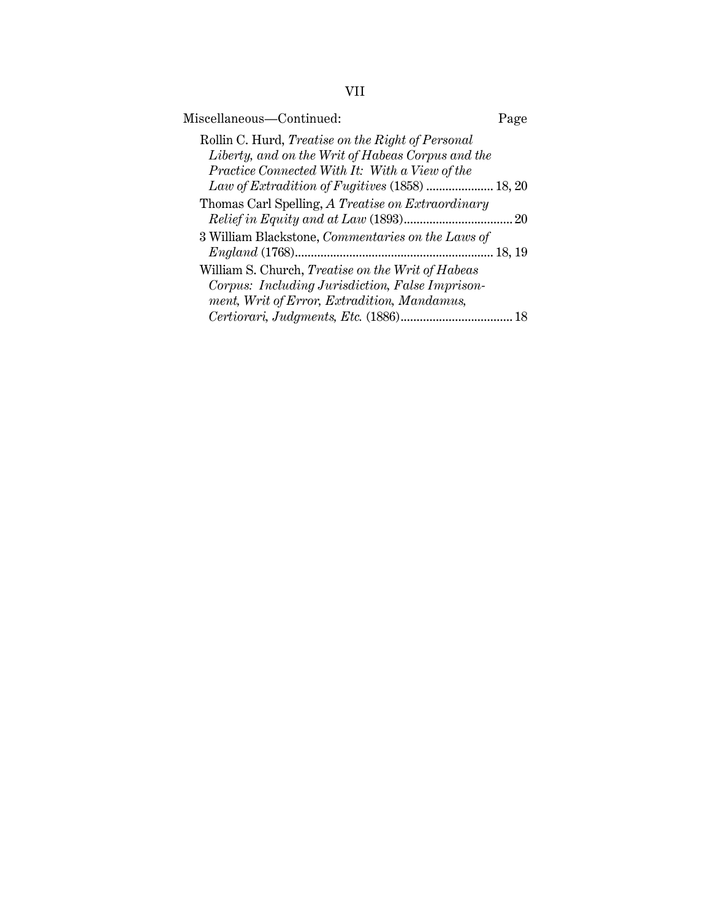| ×,<br>×, |
|----------|
|          |
|          |

| Miscellaneous-Continued:                                 | Page |
|----------------------------------------------------------|------|
| Rollin C. Hurd, Treatise on the Right of Personal        |      |
| Liberty, and on the Writ of Habeas Corpus and the        |      |
| Practice Connected With It: With a View of the           |      |
| Law of Extradition of Fugitives (1858)  18, 20           |      |
| Thomas Carl Spelling, A Treatise on Extraordinary        |      |
|                                                          |      |
| 3 William Blackstone, Commentaries on the Laws of        |      |
|                                                          |      |
| William S. Church, <i>Treatise on the Writ of Habeas</i> |      |
| Corpus: Including Jurisdiction, False Imprison-          |      |
| ment, Writ of Error, Extradition, Mandamus,              |      |
|                                                          |      |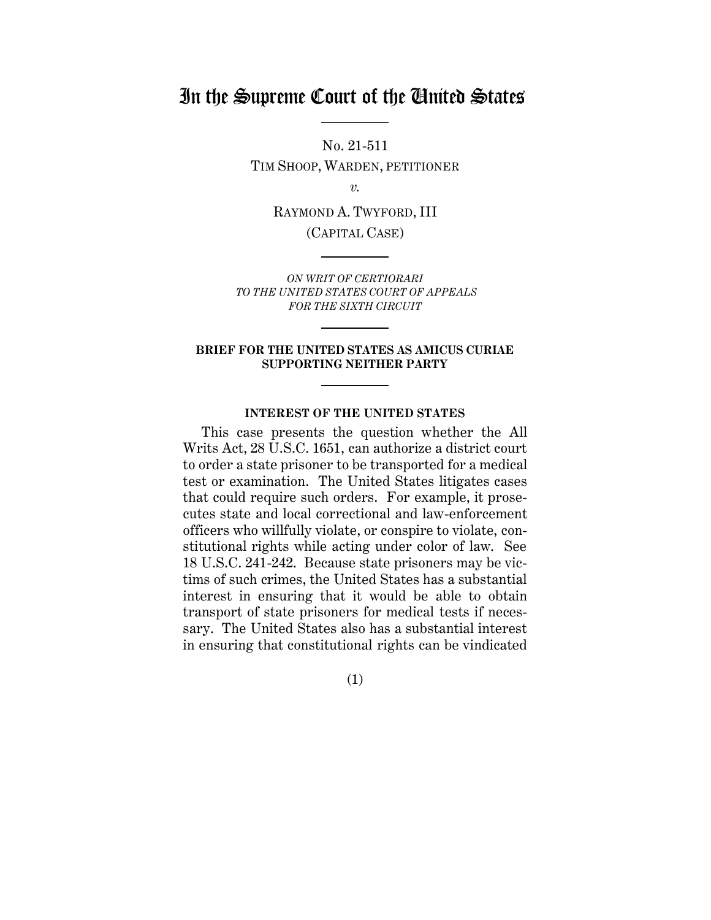## In the Supreme Court of the United States

No. 21-511 TIM SHOOP, WARDEN, PETITIONER

*v.*

RAYMOND A. TWYFORD, III

(CAPITAL CASE)

*ON WRIT OF CERTIORARI TO THE UNITED STATES COURT OF APPEALS FOR THE SIXTH CIRCUIT*

#### **BRIEF FOR THE UNITED STATES AS AMICUS CURIAE SUPPORTING NEITHER PARTY**

#### **INTEREST OF THE UNITED STATES**

<span id="page-7-0"></span>This case presents the question whether the All Writs Act, 28 U.S.C. 1651, can authorize a district court to order a state prisoner to be transported for a medical test or examination. The United States litigates cases that could require such orders. For example, it prosecutes state and local correctional and law-enforcement officers who willfully violate, or conspire to violate, constitutional rights while acting under color of law. See 18 U.S.C. 241-242. Because state prisoners may be victims of such crimes, the United States has a substantial interest in ensuring that it would be able to obtain transport of state prisoners for medical tests if necessary. The United States also has a substantial interest in ensuring that constitutional rights can be vindicated

(1)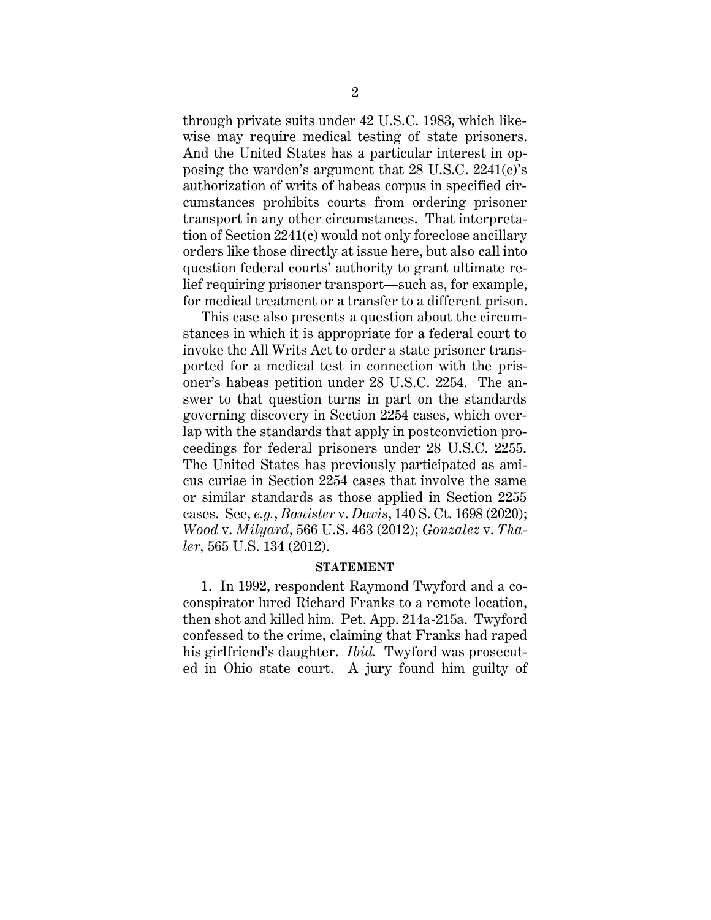through private suits under 42 U.S.C. 1983, which likewise may require medical testing of state prisoners. And the United States has a particular interest in opposing the warden's argument that 28 U.S.C. 2241(c)'s authorization of writs of habeas corpus in specified circumstances prohibits courts from ordering prisoner transport in any other circumstances. That interpretation of Section 2241(c) would not only foreclose ancillary orders like those directly at issue here, but also call into question federal courts' authority to grant ultimate relief requiring prisoner transport—such as, for example, for medical treatment or a transfer to a different prison.

This case also presents a question about the circumstances in which it is appropriate for a federal court to invoke the All Writs Act to order a state prisoner transported for a medical test in connection with the prisoner's habeas petition under 28 U.S.C. 2254. The answer to that question turns in part on the standards governing discovery in Section 2254 cases, which overlap with the standards that apply in postconviction proceedings for federal prisoners under 28 U.S.C. 2255. The United States has previously participated as amicus curiae in Section 2254 cases that involve the same or similar standards as those applied in Section 2255 cases. See, *e.g.*, *Banister* v. *Davis*, 140 S. Ct. 1698 (2020); *Wood* v. *Milyard*, 566 U.S. 463 (2012); *Gonzalez* v. *Thaler*, 565 U.S. 134 (2012).

#### **STATEMENT**

<span id="page-8-0"></span>1. In 1992, respondent Raymond Twyford and a coconspirator lured Richard Franks to a remote location, then shot and killed him. Pet. App. 214a-215a. Twyford confessed to the crime, claiming that Franks had raped his girlfriend's daughter. *Ibid.* Twyford was prosecuted in Ohio state court. A jury found him guilty of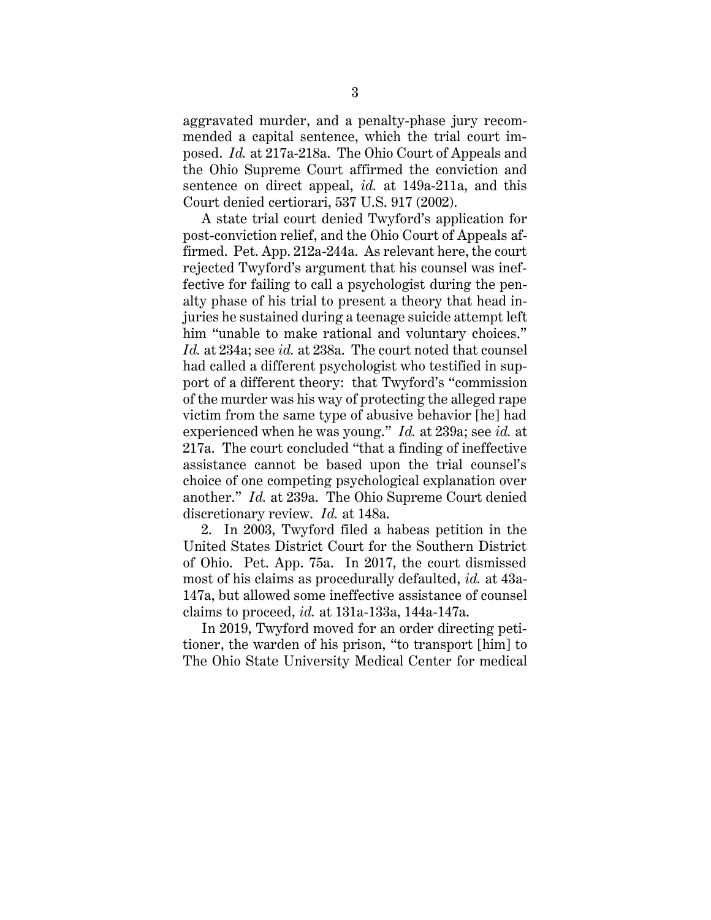aggravated murder, and a penalty-phase jury recommended a capital sentence, which the trial court imposed. *Id.* at 217a-218a. The Ohio Court of Appeals and the Ohio Supreme Court affirmed the conviction and sentence on direct appeal, *id.* at 149a-211a, and this Court denied certiorari, 537 U.S. 917 (2002).

A state trial court denied Twyford's application for post-conviction relief, and the Ohio Court of Appeals affirmed. Pet. App. 212a-244a. As relevant here, the court rejected Twyford's argument that his counsel was ineffective for failing to call a psychologist during the penalty phase of his trial to present a theory that head injuries he sustained during a teenage suicide attempt left him "unable to make rational and voluntary choices." *Id.* at 234a; see *id.* at 238a. The court noted that counsel had called a different psychologist who testified in support of a different theory: that Twyford's "commission of the murder was his way of protecting the alleged rape victim from the same type of abusive behavior [he] had experienced when he was young." *Id.* at 239a; see *id.* at 217a. The court concluded "that a finding of ineffective assistance cannot be based upon the trial counsel's choice of one competing psychological explanation over another." *Id.* at 239a. The Ohio Supreme Court denied discretionary review. *Id.* at 148a.

2. In 2003, Twyford filed a habeas petition in the United States District Court for the Southern District of Ohio. Pet. App. 75a. In 2017, the court dismissed most of his claims as procedurally defaulted, *id.* at 43a-147a, but allowed some ineffective assistance of counsel claims to proceed, *id.* at 131a-133a, 144a-147a.

In 2019, Twyford moved for an order directing petitioner, the warden of his prison, "to transport [him] to The Ohio State University Medical Center for medical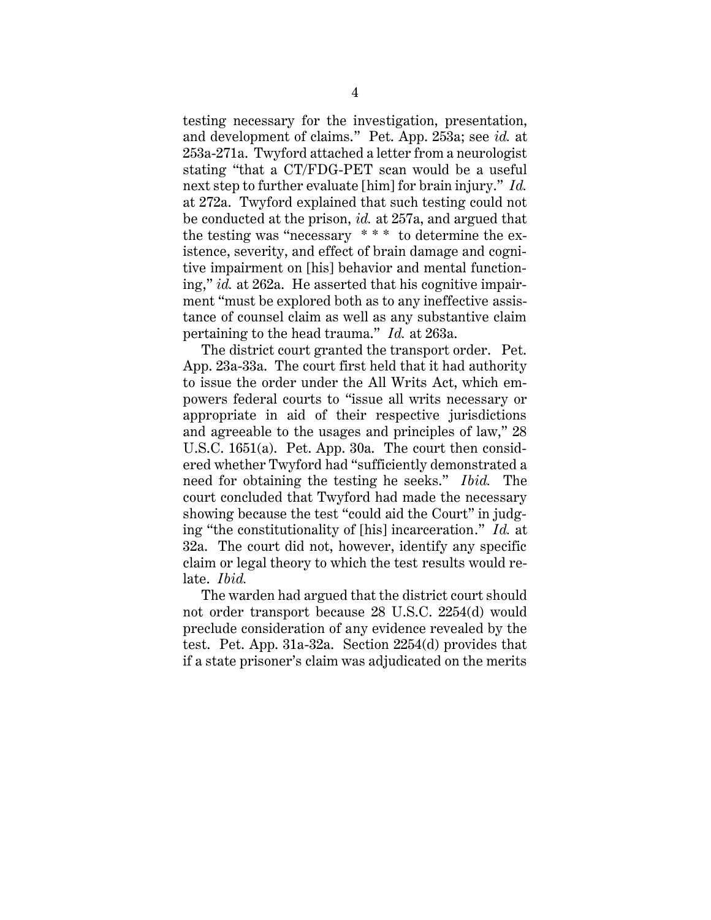testing necessary for the investigation, presentation, and development of claims." Pet. App. 253a; see *id.* at 253a-271a. Twyford attached a letter from a neurologist stating "that a CT/FDG-PET scan would be a useful next step to further evaluate [him] for brain injury." *Id.* at 272a. Twyford explained that such testing could not be conducted at the prison, *id.* at 257a, and argued that the testing was "necessary  $***$  to determine the existence, severity, and effect of brain damage and cognitive impairment on [his] behavior and mental functioning," *id.* at 262a. He asserted that his cognitive impairment "must be explored both as to any ineffective assistance of counsel claim as well as any substantive claim pertaining to the head trauma." *Id.* at 263a.

The district court granted the transport order. Pet. App. 23a-33a. The court first held that it had authority to issue the order under the All Writs Act, which empowers federal courts to "issue all writs necessary or appropriate in aid of their respective jurisdictions and agreeable to the usages and principles of law," 28 U.S.C. 1651(a). Pet. App. 30a. The court then considered whether Twyford had "sufficiently demonstrated a need for obtaining the testing he seeks." *Ibid.* The court concluded that Twyford had made the necessary showing because the test "could aid the Court" in judging "the constitutionality of [his] incarceration." *Id.* at 32a. The court did not, however, identify any specific claim or legal theory to which the test results would relate. *Ibid.*

The warden had argued that the district court should not order transport because 28 U.S.C. 2254(d) would preclude consideration of any evidence revealed by the test. Pet. App. 31a-32a. Section 2254(d) provides that if a state prisoner's claim was adjudicated on the merits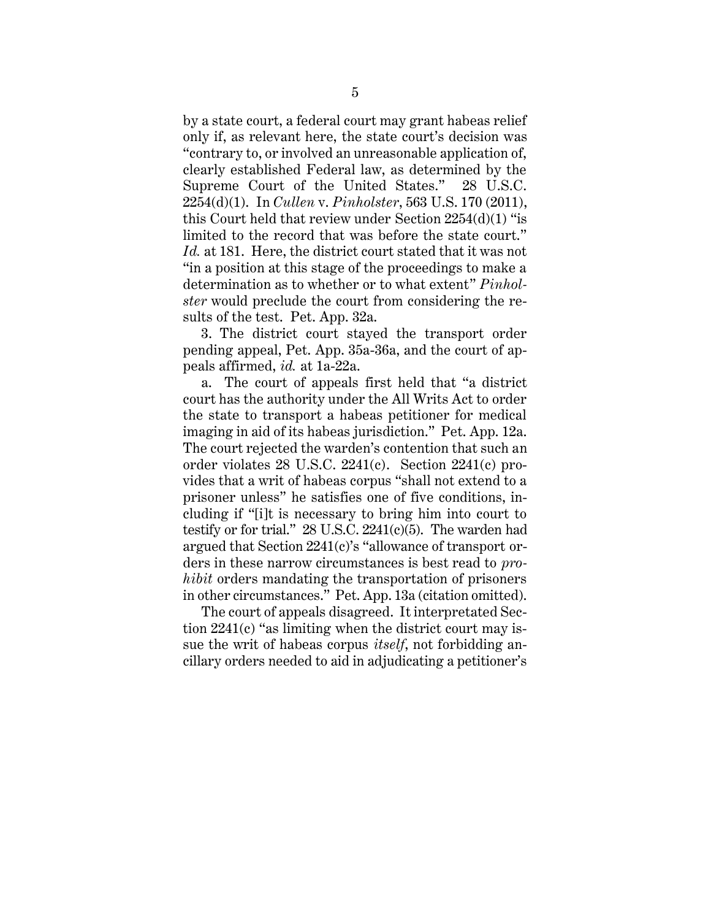by a state court, a federal court may grant habeas relief only if, as relevant here, the state court's decision was "contrary to, or involved an unreasonable application of, clearly established Federal law, as determined by the Supreme Court of the United States." 28 U.S.C. 2254(d)(1). In *Cullen* v. *Pinholster*, 563 U.S. 170 (2011), this Court held that review under Section 2254(d)(1) "is limited to the record that was before the state court." *Id.* at 181. Here, the district court stated that it was not "in a position at this stage of the proceedings to make a determination as to whether or to what extent" *Pinholster* would preclude the court from considering the results of the test. Pet. App. 32a.

3. The district court stayed the transport order pending appeal, Pet. App. 35a-36a, and the court of appeals affirmed, *id.* at 1a-22a.

a. The court of appeals first held that "a district court has the authority under the All Writs Act to order the state to transport a habeas petitioner for medical imaging in aid of its habeas jurisdiction." Pet. App. 12a. The court rejected the warden's contention that such an order violates 28 U.S.C. 2241(c). Section 2241(c) provides that a writ of habeas corpus "shall not extend to a prisoner unless" he satisfies one of five conditions, including if "[i]t is necessary to bring him into court to testify or for trial." 28 U.S.C. 2241(c)(5). The warden had argued that Section 2241(c)'s "allowance of transport orders in these narrow circumstances is best read to *prohibit* orders mandating the transportation of prisoners in other circumstances." Pet. App. 13a (citation omitted).

The court of appeals disagreed. It interpretated Section 2241(c) "as limiting when the district court may issue the writ of habeas corpus *itself*, not forbidding ancillary orders needed to aid in adjudicating a petitioner's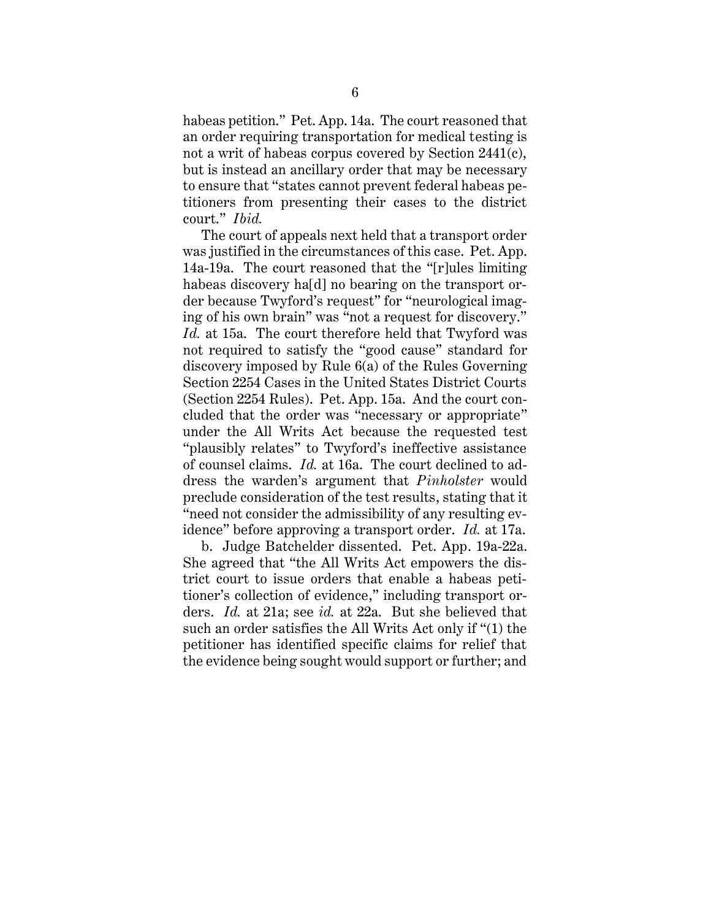habeas petition." Pet. App. 14a. The court reasoned that an order requiring transportation for medical testing is not a writ of habeas corpus covered by Section 2441(c), but is instead an ancillary order that may be necessary to ensure that "states cannot prevent federal habeas petitioners from presenting their cases to the district court." *Ibid.*

The court of appeals next held that a transport order was justified in the circumstances of this case. Pet. App. 14a-19a. The court reasoned that the "[r]ules limiting habeas discovery hald no bearing on the transport order because Twyford's request" for "neurological imaging of his own brain" was "not a request for discovery." *Id.* at 15a. The court therefore held that Twyford was not required to satisfy the "good cause" standard for discovery imposed by Rule 6(a) of the Rules Governing Section 2254 Cases in the United States District Courts (Section 2254 Rules). Pet. App. 15a. And the court concluded that the order was "necessary or appropriate" under the All Writs Act because the requested test "plausibly relates" to Twyford's ineffective assistance of counsel claims. *Id.* at 16a. The court declined to address the warden's argument that *Pinholster* would preclude consideration of the test results, stating that it "need not consider the admissibility of any resulting evidence" before approving a transport order. *Id.* at 17a.

b. Judge Batchelder dissented. Pet. App. 19a-22a. She agreed that "the All Writs Act empowers the district court to issue orders that enable a habeas petitioner's collection of evidence," including transport orders. *Id.* at 21a; see *id.* at 22a. But she believed that such an order satisfies the All Writs Act only if "(1) the petitioner has identified specific claims for relief that the evidence being sought would support or further; and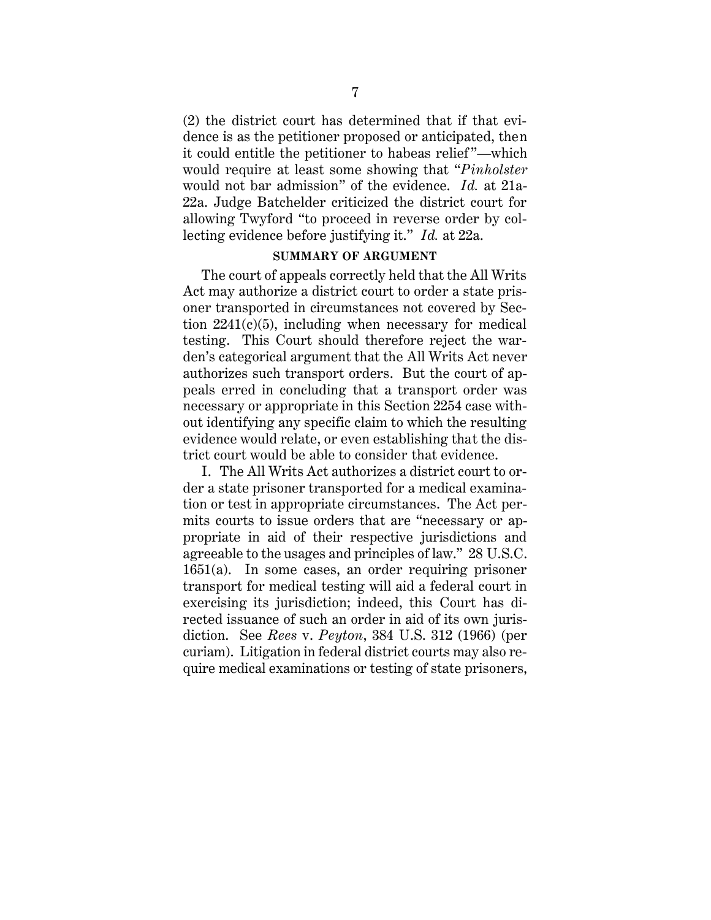(2) the district court has determined that if that evidence is as the petitioner proposed or anticipated, then it could entitle the petitioner to habeas relief "—which would require at least some showing that "*Pinholster* would not bar admission" of the evidence. *Id.* at 21a-22a. Judge Batchelder criticized the district court for allowing Twyford "to proceed in reverse order by collecting evidence before justifying it." *Id.* at 22a.

#### **SUMMARY OF ARGUMENT**

<span id="page-13-0"></span>The court of appeals correctly held that the All Writs Act may authorize a district court to order a state prisoner transported in circumstances not covered by Section  $2241(c)(5)$ , including when necessary for medical testing. This Court should therefore reject the warden's categorical argument that the All Writs Act never authorizes such transport orders. But the court of appeals erred in concluding that a transport order was necessary or appropriate in this Section 2254 case without identifying any specific claim to which the resulting evidence would relate, or even establishing that the district court would be able to consider that evidence.

I. The All Writs Act authorizes a district court to order a state prisoner transported for a medical examination or test in appropriate circumstances. The Act permits courts to issue orders that are "necessary or appropriate in aid of their respective jurisdictions and agreeable to the usages and principles of law." 28 U.S.C. 1651(a). In some cases, an order requiring prisoner transport for medical testing will aid a federal court in exercising its jurisdiction; indeed, this Court has directed issuance of such an order in aid of its own jurisdiction. See *Rees* v. *Peyton*, 384 U.S. 312 (1966) (per curiam). Litigation in federal district courts may also require medical examinations or testing of state prisoners,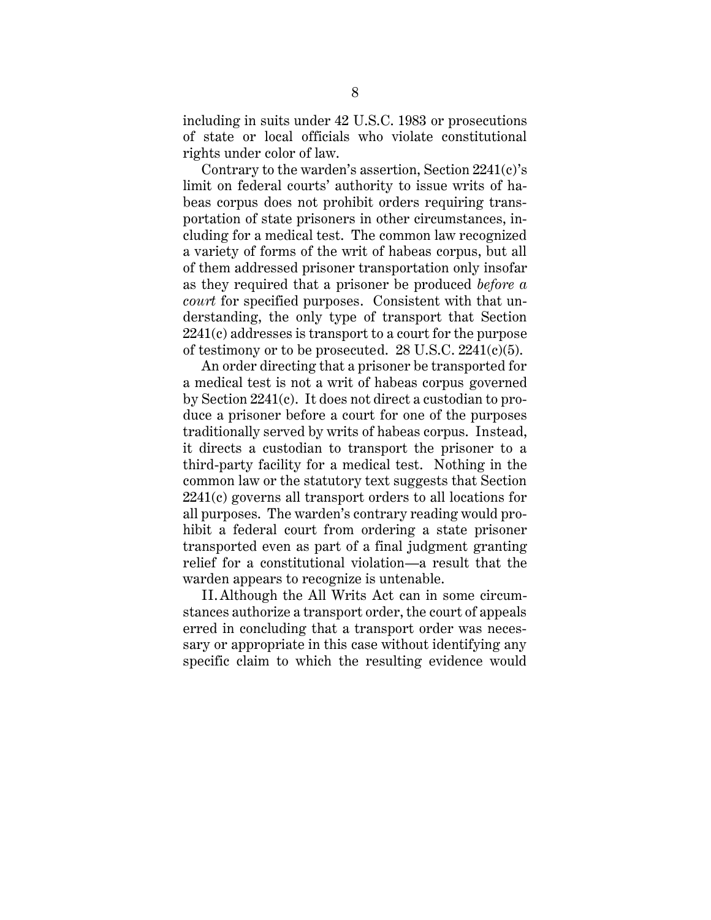including in suits under 42 U.S.C. 1983 or prosecutions of state or local officials who violate constitutional rights under color of law.

Contrary to the warden's assertion, Section 2241(c)'s limit on federal courts' authority to issue writs of habeas corpus does not prohibit orders requiring transportation of state prisoners in other circumstances, including for a medical test. The common law recognized a variety of forms of the writ of habeas corpus, but all of them addressed prisoner transportation only insofar as they required that a prisoner be produced *before a court* for specified purposes. Consistent with that understanding, the only type of transport that Section 2241(c) addresses is transport to a court for the purpose of testimony or to be prosecuted.  $28 \text{ U.S.C. } 2241 \text{ (c)(5)}.$ 

An order directing that a prisoner be transported for a medical test is not a writ of habeas corpus governed by Section 2241(c). It does not direct a custodian to produce a prisoner before a court for one of the purposes traditionally served by writs of habeas corpus. Instead, it directs a custodian to transport the prisoner to a third-party facility for a medical test. Nothing in the common law or the statutory text suggests that Section 2241(c) governs all transport orders to all locations for all purposes. The warden's contrary reading would prohibit a federal court from ordering a state prisoner transported even as part of a final judgment granting relief for a constitutional violation—a result that the warden appears to recognize is untenable.

II. Although the All Writs Act can in some circumstances authorize a transport order, the court of appeals erred in concluding that a transport order was necessary or appropriate in this case without identifying any specific claim to which the resulting evidence would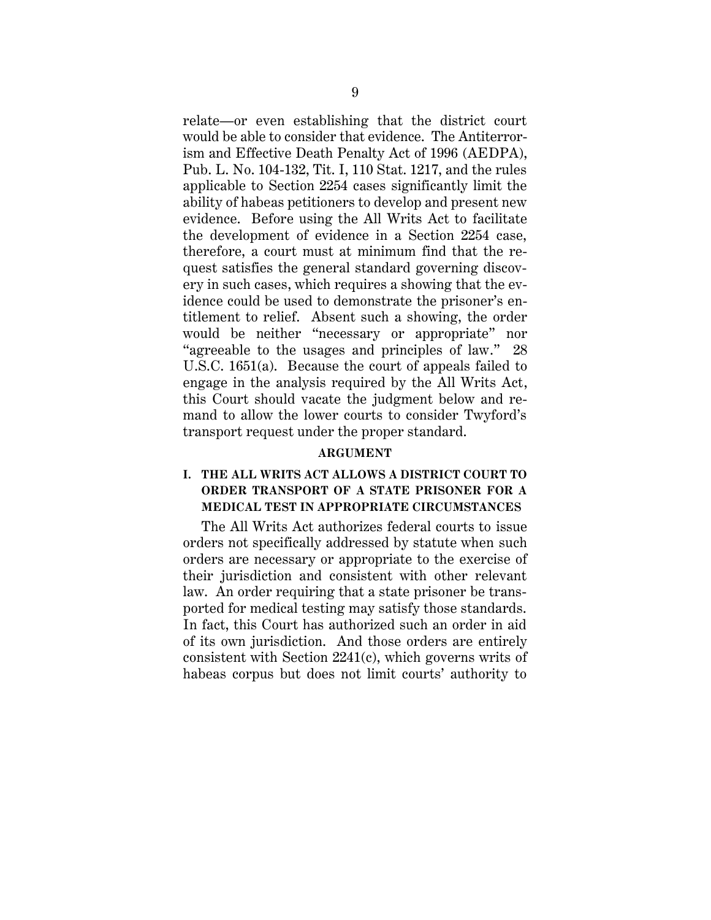relate—or even establishing that the district court would be able to consider that evidence. The Antiterrorism and Effective Death Penalty Act of 1996 (AEDPA), Pub. L. No. 104-132, Tit. I, 110 Stat. 1217, and the rules applicable to Section 2254 cases significantly limit the ability of habeas petitioners to develop and present new evidence. Before using the All Writs Act to facilitate the development of evidence in a Section 2254 case, therefore, a court must at minimum find that the request satisfies the general standard governing discovery in such cases, which requires a showing that the evidence could be used to demonstrate the prisoner's entitlement to relief. Absent such a showing, the order would be neither "necessary or appropriate" nor "agreeable to the usages and principles of law." 28 U.S.C. 1651(a). Because the court of appeals failed to engage in the analysis required by the All Writs Act, this Court should vacate the judgment below and remand to allow the lower courts to consider Twyford's transport request under the proper standard.

#### **ARGUMENT**

## <span id="page-15-1"></span><span id="page-15-0"></span>**I. THE ALL WRITS ACT ALLOWS A DISTRICT COURT TO ORDER TRANSPORT OF A STATE PRISONER FOR A MEDICAL TEST IN APPROPRIATE CIRCUMSTANCES**

The All Writs Act authorizes federal courts to issue orders not specifically addressed by statute when such orders are necessary or appropriate to the exercise of their jurisdiction and consistent with other relevant law. An order requiring that a state prisoner be transported for medical testing may satisfy those standards. In fact, this Court has authorized such an order in aid of its own jurisdiction. And those orders are entirely consistent with Section 2241(c), which governs writs of habeas corpus but does not limit courts' authority to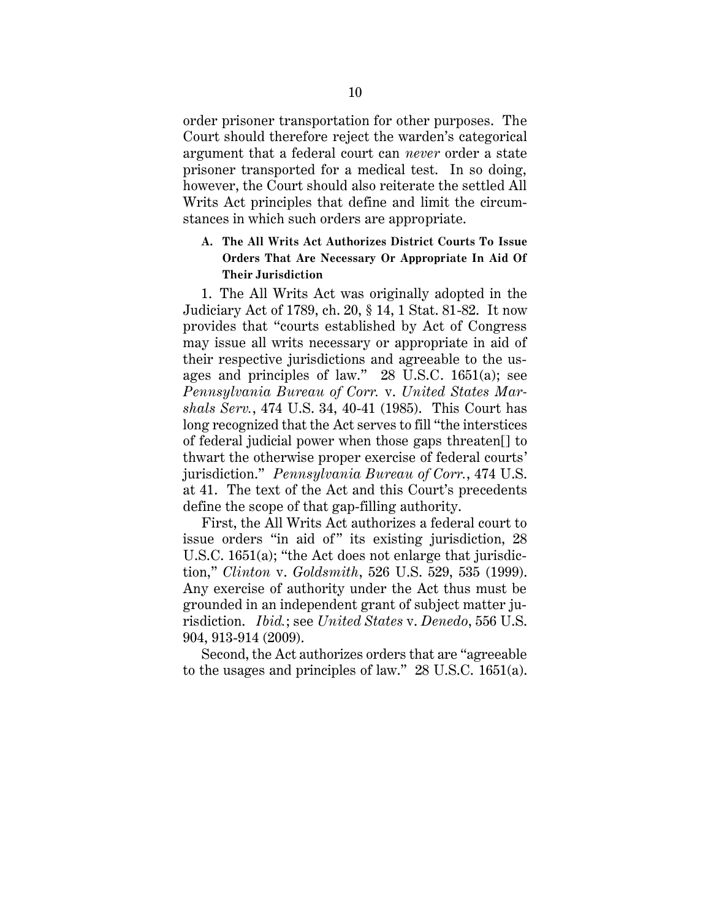order prisoner transportation for other purposes. The Court should therefore reject the warden's categorical argument that a federal court can *never* order a state prisoner transported for a medical test. In so doing, however, the Court should also reiterate the settled All Writs Act principles that define and limit the circumstances in which such orders are appropriate.

## <span id="page-16-0"></span>**A. The All Writs Act Authorizes District Courts To Issue Orders That Are Necessary Or Appropriate In Aid Of Their Jurisdiction**

1. The All Writs Act was originally adopted in the Judiciary Act of 1789, ch. 20, § 14, 1 Stat. 81-82. It now provides that "courts established by Act of Congress may issue all writs necessary or appropriate in aid of their respective jurisdictions and agreeable to the usages and principles of law." 28 U.S.C. 1651(a); see *Pennsylvania Bureau of Corr.* v. *United States Marshals Serv.*, 474 U.S. 34, 40-41 (1985). This Court has long recognized that the Act serves to fill "the interstices of federal judicial power when those gaps threaten[] to thwart the otherwise proper exercise of federal courts' jurisdiction." *Pennsylvania Bureau of Corr.*, 474 U.S. at 41. The text of the Act and this Court's precedents define the scope of that gap-filling authority.

First, the All Writs Act authorizes a federal court to issue orders "in aid of" its existing jurisdiction, 28 U.S.C. 1651(a); "the Act does not enlarge that jurisdiction," *Clinton* v. *Goldsmith*, 526 U.S. 529, 535 (1999). Any exercise of authority under the Act thus must be grounded in an independent grant of subject matter jurisdiction. *Ibid.*; see *United States* v. *Denedo*, 556 U.S. 904, 913-914 (2009).

Second, the Act authorizes orders that are "agreeable to the usages and principles of law." 28 U.S.C. 1651(a).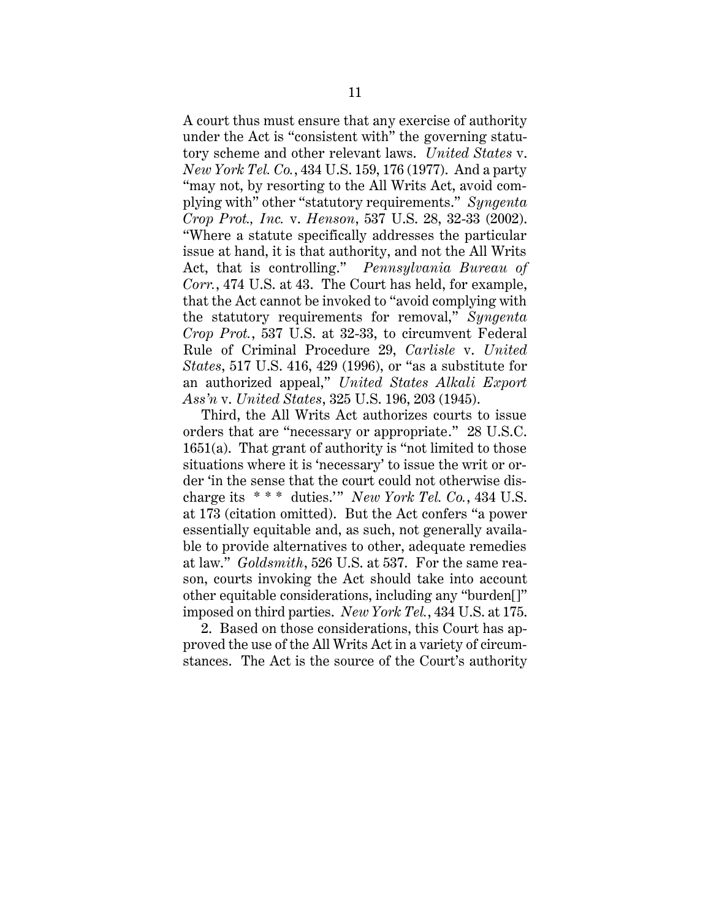A court thus must ensure that any exercise of authority under the Act is "consistent with" the governing statutory scheme and other relevant laws. *United States* v. *New York Tel. Co.*, 434 U.S. 159, 176 (1977). And a party "may not, by resorting to the All Writs Act, avoid complying with" other "statutory requirements." *Syngenta Crop Prot., Inc.* v. *Henson*, 537 U.S. 28, 32-33 (2002). "Where a statute specifically addresses the particular issue at hand, it is that authority, and not the All Writs Act, that is controlling." *Pennsylvania Bureau of Corr.*, 474 U.S. at 43. The Court has held, for example, that the Act cannot be invoked to "avoid complying with the statutory requirements for removal," *Syngenta Crop Prot.*, 537 U.S. at 32-33, to circumvent Federal Rule of Criminal Procedure 29, *Carlisle* v. *United States*, 517 U.S. 416, 429 (1996), or "as a substitute for an authorized appeal," *United States Alkali Export Ass'n* v. *United States*, 325 U.S. 196, 203 (1945).

Third, the All Writs Act authorizes courts to issue orders that are "necessary or appropriate." 28 U.S.C. 1651(a). That grant of authority is "not limited to those situations where it is 'necessary' to issue the writ or order 'in the sense that the court could not otherwise discharge its \* \* \* duties.'" *New York Tel. Co.*, 434 U.S. at 173 (citation omitted). But the Act confers "a power essentially equitable and, as such, not generally available to provide alternatives to other, adequate remedies at law." *Goldsmith*, 526 U.S. at 537. For the same reason, courts invoking the Act should take into account other equitable considerations, including any "burden[]" imposed on third parties. *New York Tel.*, 434 U.S. at 175.

2. Based on those considerations, this Court has approved the use of the All Writs Act in a variety of circumstances. The Act is the source of the Court's authority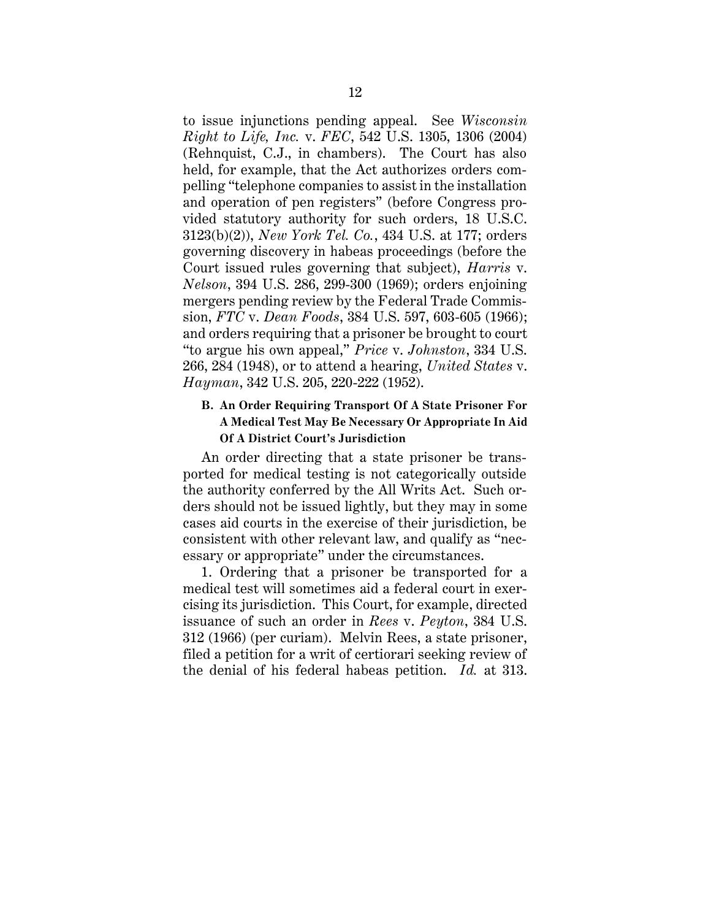to issue injunctions pending appeal. See *Wisconsin Right to Life, Inc.* v. *FEC*, 542 U.S. 1305, 1306 (2004) (Rehnquist, C.J., in chambers). The Court has also held, for example, that the Act authorizes orders compelling "telephone companies to assist in the installation and operation of pen registers" (before Congress provided statutory authority for such orders, 18 U.S.C. 3123(b)(2)), *New York Tel. Co.*, 434 U.S. at 177; orders governing discovery in habeas proceedings (before the Court issued rules governing that subject), *Harris* v. *Nelson*, 394 U.S. 286, 299-300 (1969); orders enjoining mergers pending review by the Federal Trade Commission, *FTC* v. *Dean Foods*, 384 U.S. 597, 603-605 (1966); and orders requiring that a prisoner be brought to court "to argue his own appeal," *Price* v. *Johnston*, 334 U.S. 266, 284 (1948), or to attend a hearing, *United States* v. *Hayman*, 342 U.S. 205, 220-222 (1952).

## <span id="page-18-0"></span>**B. An Order Requiring Transport Of A State Prisoner For A Medical Test May Be Necessary Or Appropriate In Aid Of A District Court's Jurisdiction**

An order directing that a state prisoner be transported for medical testing is not categorically outside the authority conferred by the All Writs Act. Such orders should not be issued lightly, but they may in some cases aid courts in the exercise of their jurisdiction, be consistent with other relevant law, and qualify as "necessary or appropriate" under the circumstances.

1. Ordering that a prisoner be transported for a medical test will sometimes aid a federal court in exercising its jurisdiction. This Court, for example, directed issuance of such an order in *Rees* v. *Peyton*, 384 U.S. 312 (1966) (per curiam). Melvin Rees, a state prisoner, filed a petition for a writ of certiorari seeking review of the denial of his federal habeas petition. *Id.* at 313.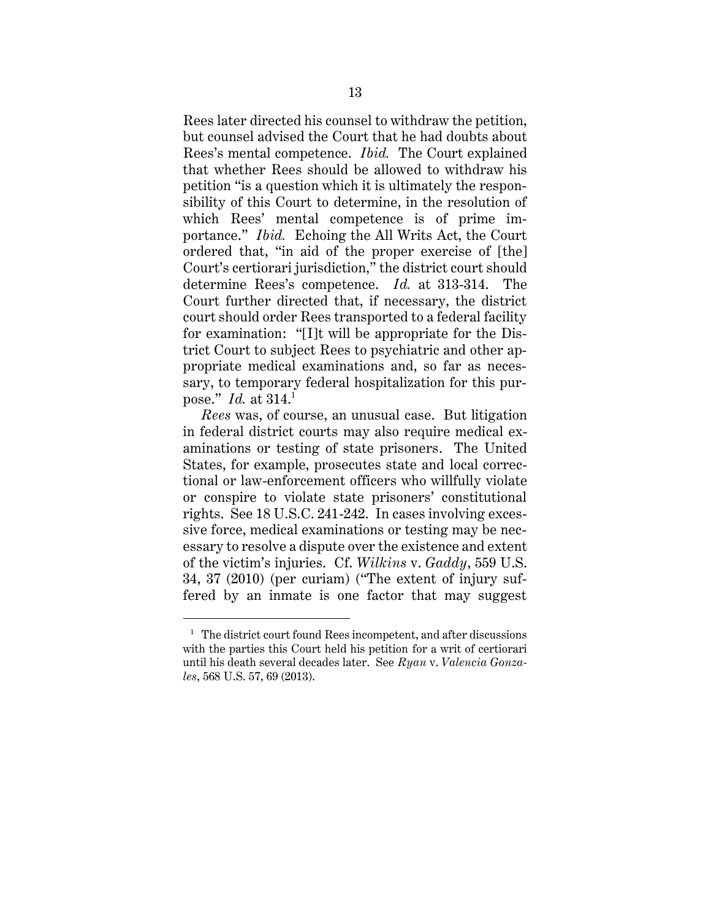Rees later directed his counsel to withdraw the petition, but counsel advised the Court that he had doubts about Rees's mental competence. *Ibid.* The Court explained that whether Rees should be allowed to withdraw his petition "is a question which it is ultimately the responsibility of this Court to determine, in the resolution of which Rees' mental competence is of prime importance." *Ibid.* Echoing the All Writs Act, the Court ordered that, "in aid of the proper exercise of [the] Court's certiorari jurisdiction," the district court should determine Rees's competence. *Id.* at 313-314. The Court further directed that, if necessary, the district court should order Rees transported to a federal facility for examination: "[I]t will be appropriate for the District Court to subject Rees to psychiatric and other appropriate medical examinations and, so far as necessary, to temporary federal hospitalization for this purpose." *Id.* at 314. 1

*Rees* was, of course, an unusual case. But litigation in federal district courts may also require medical examinations or testing of state prisoners. The United States, for example, prosecutes state and local correctional or law-enforcement officers who willfully violate or conspire to violate state prisoners' constitutional rights. See 18 U.S.C. 241-242. In cases involving excessive force, medical examinations or testing may be necessary to resolve a dispute over the existence and extent of the victim's injuries. Cf. *Wilkins* v. *Gaddy*, 559 U.S. 34, 37 (2010) (per curiam) ("The extent of injury suffered by an inmate is one factor that may suggest

 $<sup>1</sup>$  The district court found Rees incompetent, and after discussions</sup> with the parties this Court held his petition for a writ of certiorari until his death several decades later. See *Ryan* v. *Valencia Gonzales*, 568 U.S. 57, 69 (2013).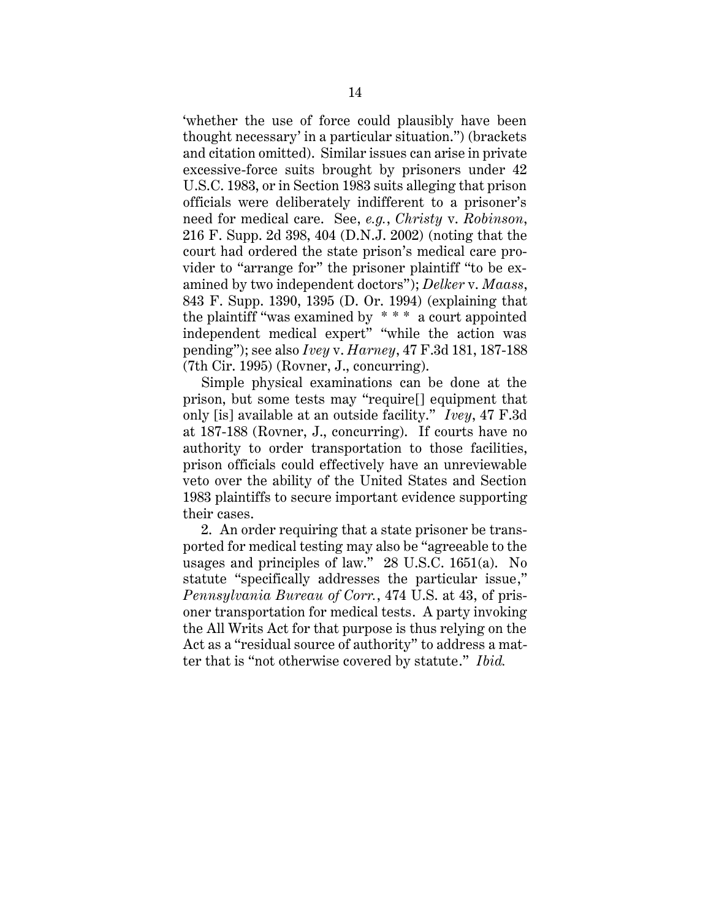'whether the use of force could plausibly have been thought necessary' in a particular situation.") (brackets and citation omitted). Similar issues can arise in private excessive-force suits brought by prisoners under 42 U.S.C. 1983, or in Section 1983 suits alleging that prison officials were deliberately indifferent to a prisoner's need for medical care. See, *e.g.*, *Christy* v. *Robinson*, 216 F. Supp. 2d 398, 404 (D.N.J. 2002) (noting that the court had ordered the state prison's medical care provider to "arrange for" the prisoner plaintiff "to be examined by two independent doctors"); *Delker* v. *Maass*, 843 F. Supp. 1390, 1395 (D. Or. 1994) (explaining that the plaintiff "was examined by \* \* \* a court appointed independent medical expert" "while the action was pending"); see also *Ivey* v. *Harney*, 47 F.3d 181, 187-188 (7th Cir. 1995) (Rovner, J., concurring).

Simple physical examinations can be done at the prison, but some tests may "require[] equipment that only [is] available at an outside facility." *Ivey*, 47 F.3d at 187-188 (Rovner, J., concurring). If courts have no authority to order transportation to those facilities, prison officials could effectively have an unreviewable veto over the ability of the United States and Section 1983 plaintiffs to secure important evidence supporting their cases.

2. An order requiring that a state prisoner be transported for medical testing may also be "agreeable to the usages and principles of law." 28 U.S.C. 1651(a). No statute "specifically addresses the particular issue," *Pennsylvania Bureau of Corr.*, 474 U.S. at 43, of prisoner transportation for medical tests. A party invoking the All Writs Act for that purpose is thus relying on the Act as a "residual source of authority" to address a matter that is "not otherwise covered by statute." *Ibid.*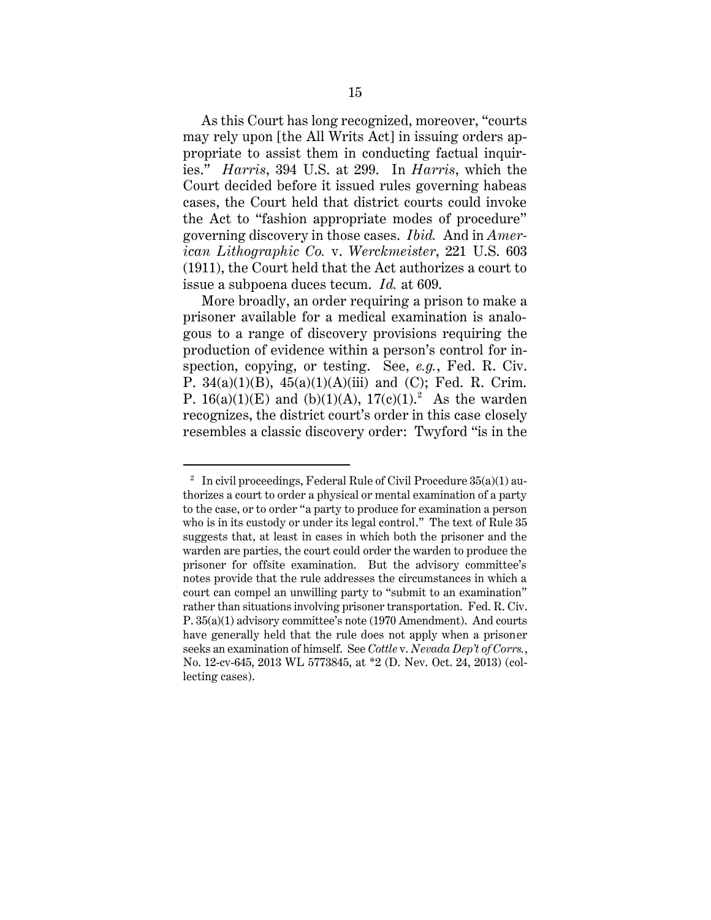As this Court has long recognized, moreover, "courts may rely upon [the All Writs Act] in issuing orders appropriate to assist them in conducting factual inquiries." *Harris*, 394 U.S. at 299. In *Harris*, which the Court decided before it issued rules governing habeas cases, the Court held that district courts could invoke the Act to "fashion appropriate modes of procedure" governing discovery in those cases. *Ibid.* And in *American Lithographic Co.* v. *Werckmeister*, 221 U.S. 603 (1911), the Court held that the Act authorizes a court to issue a subpoena duces tecum. *Id.* at 609.

More broadly, an order requiring a prison to make a prisoner available for a medical examination is analogous to a range of discovery provisions requiring the production of evidence within a person's control for inspection, copying, or testing. See, *e.g.*, Fed. R. Civ. P.  $34(a)(1)(B)$ ,  $45(a)(1)(A)(iii)$  and (C); Fed. R. Crim. P. 16(a)(1)(E) and (b)(1)(A),  $17(c)(1)$ .<sup>2</sup> As the warden recognizes, the district court's order in this case closely resembles a classic discovery order: Twyford "is in the

 $^2$  In civil proceedings, Federal Rule of Civil Procedure 35(a)(1) authorizes a court to order a physical or mental examination of a party to the case, or to order "a party to produce for examination a person who is in its custody or under its legal control." The text of Rule 35 suggests that, at least in cases in which both the prisoner and the warden are parties, the court could order the warden to produce the prisoner for offsite examination. But the advisory committee's notes provide that the rule addresses the circumstances in which a court can compel an unwilling party to "submit to an examination" rather than situations involving prisoner transportation. Fed. R. Civ. P. 35(a)(1) advisory committee's note (1970 Amendment). And courts have generally held that the rule does not apply when a prisoner seeks an examination of himself. See *Cottle* v. *Nevada Dep't of Corrs.*, No. 12-cv-645, 2013 WL 5773845, at \*2 (D. Nev. Oct. 24, 2013) (collecting cases).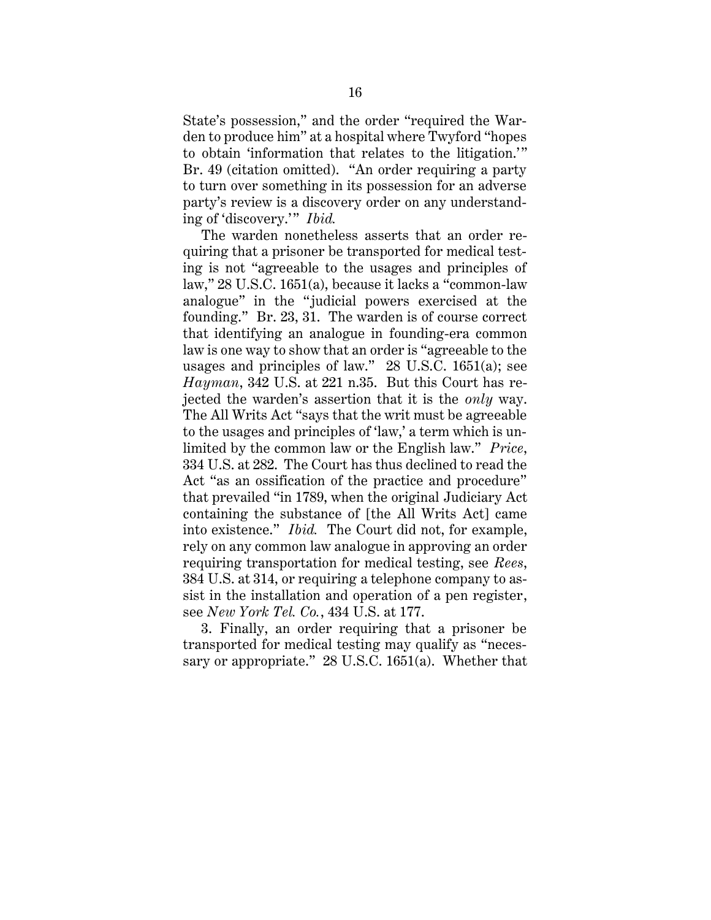State's possession," and the order "required the Warden to produce him" at a hospital where Twyford "hopes to obtain 'information that relates to the litigation.'" Br. 49 (citation omitted). "An order requiring a party to turn over something in its possession for an adverse party's review is a discovery order on any understanding of 'discovery.'" *Ibid.* 

The warden nonetheless asserts that an order requiring that a prisoner be transported for medical testing is not "agreeable to the usages and principles of law," 28 U.S.C. 1651(a), because it lacks a "common-law analogue" in the "judicial powers exercised at the founding." Br. 23, 31. The warden is of course correct that identifying an analogue in founding-era common law is one way to show that an order is "agreeable to the usages and principles of law." 28 U.S.C. 1651(a); see *Hayman*, 342 U.S. at 221 n.35. But this Court has rejected the warden's assertion that it is the *only* way. The All Writs Act "says that the writ must be agreeable to the usages and principles of 'law,' a term which is unlimited by the common law or the English law." *Price*, 334 U.S. at 282. The Court has thus declined to read the Act "as an ossification of the practice and procedure" that prevailed "in 1789, when the original Judiciary Act containing the substance of [the All Writs Act] came into existence." *Ibid.* The Court did not, for example, rely on any common law analogue in approving an order requiring transportation for medical testing, see *Rees*, 384 U.S. at 314, or requiring a telephone company to assist in the installation and operation of a pen register, see *New York Tel. Co.*, 434 U.S. at 177.

3. Finally, an order requiring that a prisoner be transported for medical testing may qualify as "necessary or appropriate." 28 U.S.C. 1651(a). Whether that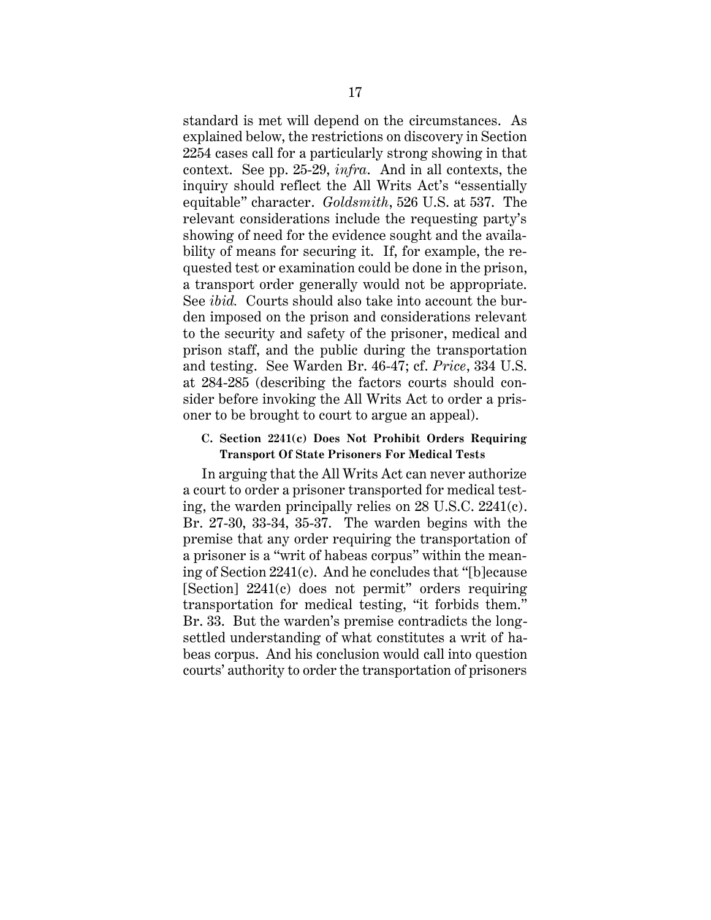standard is met will depend on the circumstances. As explained below, the restrictions on discovery in Section 2254 cases call for a particularly strong showing in that context. See pp. 25-29, *infra*. And in all contexts, the inquiry should reflect the All Writs Act's "essentially equitable" character. *Goldsmith*, 526 U.S. at 537. The relevant considerations include the requesting party's showing of need for the evidence sought and the availability of means for securing it. If, for example, the requested test or examination could be done in the prison, a transport order generally would not be appropriate. See *ibid.* Courts should also take into account the burden imposed on the prison and considerations relevant to the security and safety of the prisoner, medical and prison staff, and the public during the transportation and testing. See Warden Br. 46-47; cf. *Price*, 334 U.S. at 284-285 (describing the factors courts should consider before invoking the All Writs Act to order a prisoner to be brought to court to argue an appeal).

#### <span id="page-23-0"></span>**C. Section 2241(c) Does Not Prohibit Orders Requiring Transport Of State Prisoners For Medical Tests**

In arguing that the All Writs Act can never authorize a court to order a prisoner transported for medical testing, the warden principally relies on 28 U.S.C. 2241(c). Br. 27-30, 33-34, 35-37. The warden begins with the premise that any order requiring the transportation of a prisoner is a "writ of habeas corpus" within the meaning of Section 2241(c). And he concludes that "[b]ecause [Section] 2241(c) does not permit" orders requiring transportation for medical testing, "it forbids them." Br. 33. But the warden's premise contradicts the longsettled understanding of what constitutes a writ of habeas corpus. And his conclusion would call into question courts' authority to order the transportation of prisoners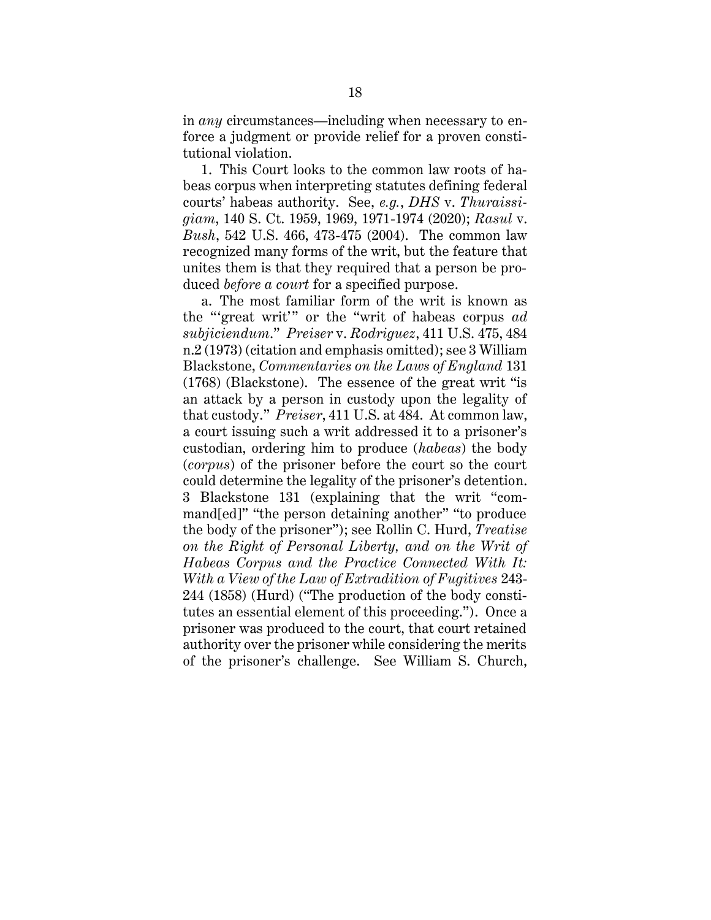in *any* circumstances—including when necessary to enforce a judgment or provide relief for a proven constitutional violation.

1. This Court looks to the common law roots of habeas corpus when interpreting statutes defining federal courts' habeas authority. See, *e.g.*, *DHS* v. *Thuraissigiam*, 140 S. Ct. 1959, 1969, 1971-1974 (2020); *Rasul* v. *Bush*, 542 U.S. 466, 473-475 (2004). The common law recognized many forms of the writ, but the feature that unites them is that they required that a person be produced *before a court* for a specified purpose.

a. The most familiar form of the writ is known as the "'great writ'" or the "writ of habeas corpus *ad subjiciendum*." *Preiser* v. *Rodriguez*, 411 U.S. 475, 484 n.2 (1973) (citation and emphasis omitted); see 3 William Blackstone, *Commentaries on the Laws of England* 131 (1768) (Blackstone). The essence of the great writ "is an attack by a person in custody upon the legality of that custody." *Preiser*, 411 U.S. at 484. At common law, a court issuing such a writ addressed it to a prisoner's custodian, ordering him to produce (*habeas*) the body (*corpus*) of the prisoner before the court so the court could determine the legality of the prisoner's detention. 3 Blackstone 131 (explaining that the writ "command[ed]" "the person detaining another" "to produce the body of the prisoner"); see Rollin C. Hurd, *Treatise on the Right of Personal Liberty, and on the Writ of Habeas Corpus and the Practice Connected With It: With a View of the Law of Extradition of Fugitives* 243- 244 (1858) (Hurd) ("The production of the body constitutes an essential element of this proceeding."). Once a prisoner was produced to the court, that court retained authority over the prisoner while considering the merits of the prisoner's challenge. See William S. Church,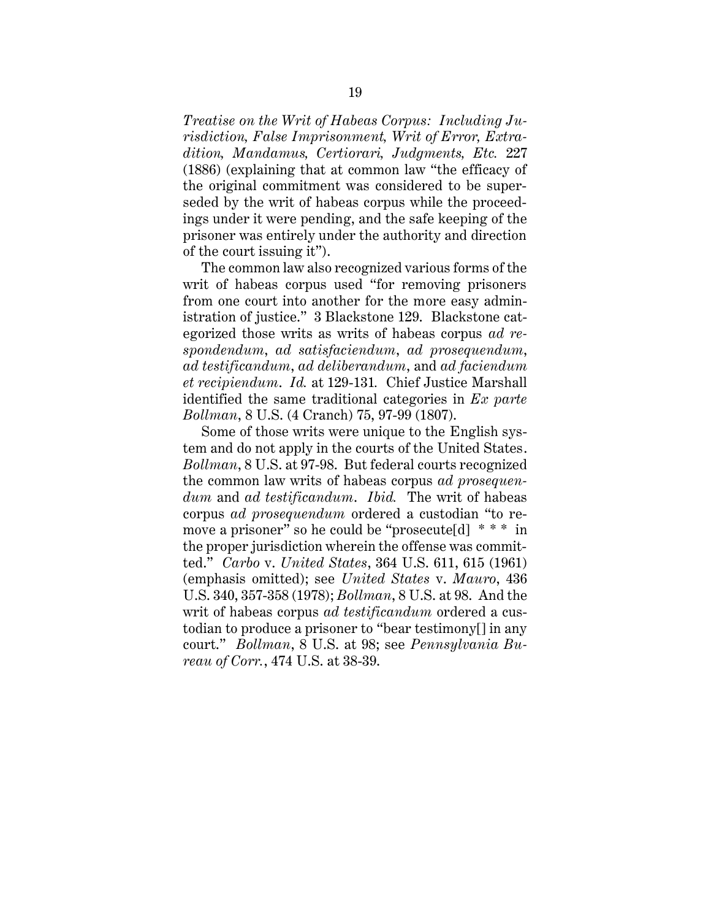*Treatise on the Writ of Habeas Corpus: Including Jurisdiction, False Imprisonment, Writ of Error, Extradition, Mandamus, Certiorari, Judgments, Etc.* 227 (1886) (explaining that at common law "the efficacy of the original commitment was considered to be superseded by the writ of habeas corpus while the proceedings under it were pending, and the safe keeping of the prisoner was entirely under the authority and direction of the court issuing it").

The common law also recognized various forms of the writ of habeas corpus used "for removing prisoners from one court into another for the more easy administration of justice." 3 Blackstone 129. Blackstone categorized those writs as writs of habeas corpus *ad respondendum*, *ad satisfaciendum*, *ad prosequendum*, *ad testificandum*, *ad deliberandum*, and *ad faciendum et recipiendum*. *Id.* at 129-131*.* Chief Justice Marshall identified the same traditional categories in *Ex parte Bollman*, 8 U.S. (4 Cranch) 75, 97-99 (1807).

Some of those writs were unique to the English system and do not apply in the courts of the United States. *Bollman*, 8 U.S. at 97-98. But federal courts recognized the common law writs of habeas corpus *ad prosequendum* and *ad testificandum*. *Ibid.* The writ of habeas corpus *ad prosequendum* ordered a custodian "to remove a prisoner" so he could be "prosecute[d] \* \* \* in the proper jurisdiction wherein the offense was committed." *Carbo* v. *United States*, 364 U.S. 611, 615 (1961) (emphasis omitted); see *United States* v. *Mauro*, 436 U.S. 340, 357-358 (1978); *Bollman*, 8 U.S. at 98. And the writ of habeas corpus *ad testificandum* ordered a custodian to produce a prisoner to "bear testimony[] in any court." *Bollman*, 8 U.S. at 98; see *Pennsylvania Bureau of Corr.*, 474 U.S. at 38-39.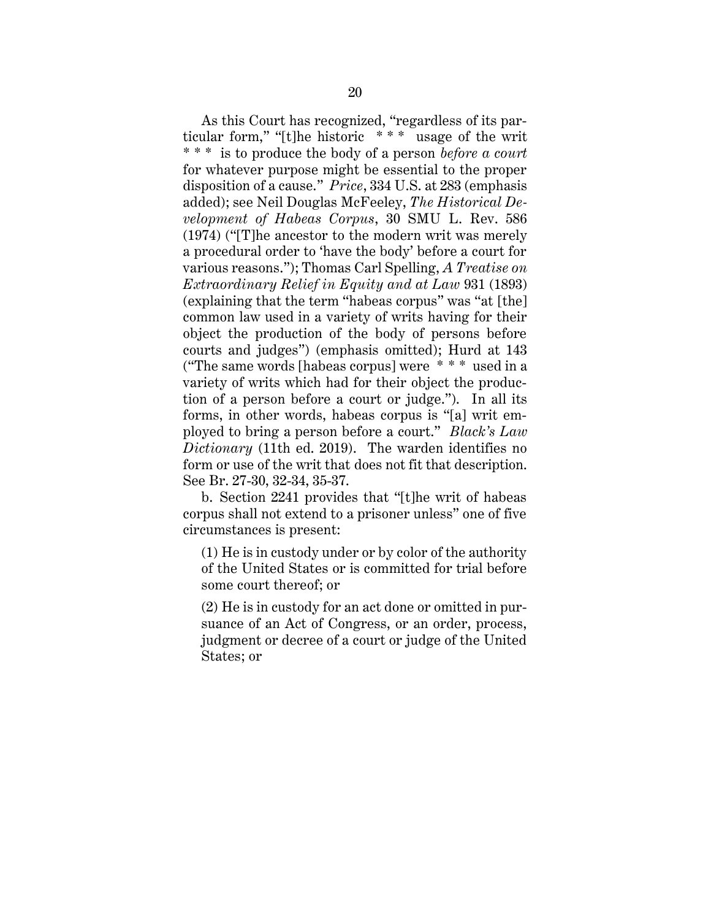As this Court has recognized, "regardless of its particular form," "[t]he historic \* \* \* usage of the writ \* \* \* is to produce the body of a person *before a court* for whatever purpose might be essential to the proper disposition of a cause." *Price*, 334 U.S. at 283 (emphasis added); see Neil Douglas McFeeley, *The Historical Development of Habeas Corpus*, 30 SMU L. Rev. 586 (1974) ("[T]he ancestor to the modern writ was merely a procedural order to 'have the body' before a court for various reasons."); Thomas Carl Spelling, *A Treatise on Extraordinary Relief in Equity and at Law* 931 (1893) (explaining that the term "habeas corpus" was "at [the] common law used in a variety of writs having for their object the production of the body of persons before courts and judges") (emphasis omitted); Hurd at 143 ("The same words [habeas corpus] were \* \* \* used in a variety of writs which had for their object the production of a person before a court or judge."). In all its forms, in other words, habeas corpus is "[a] writ employed to bring a person before a court." *Black's Law Dictionary* (11th ed. 2019). The warden identifies no form or use of the writ that does not fit that description. See Br. 27-30, 32-34, 35-37.

b. Section 2241 provides that "[t]he writ of habeas corpus shall not extend to a prisoner unless" one of five circumstances is present:

(1) He is in custody under or by color of the authority of the United States or is committed for trial before some court thereof; or

(2) He is in custody for an act done or omitted in pursuance of an Act of Congress, or an order, process, judgment or decree of a court or judge of the United States; or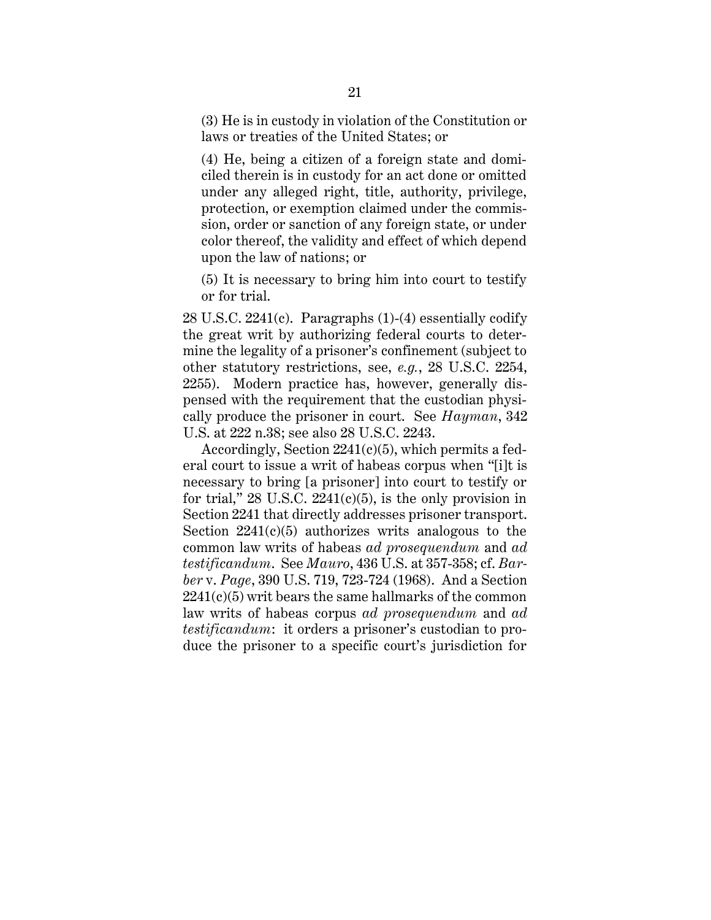(3) He is in custody in violation of the Constitution or laws or treaties of the United States; or

(4) He, being a citizen of a foreign state and domiciled therein is in custody for an act done or omitted under any alleged right, title, authority, privilege, protection, or exemption claimed under the commission, order or sanction of any foreign state, or under color thereof, the validity and effect of which depend upon the law of nations; or

(5) It is necessary to bring him into court to testify or for trial.

28 U.S.C. 2241(c). Paragraphs (1)-(4) essentially codify the great writ by authorizing federal courts to determine the legality of a prisoner's confinement (subject to other statutory restrictions, see, *e.g.*, 28 U.S.C. 2254, 2255). Modern practice has, however, generally dispensed with the requirement that the custodian physically produce the prisoner in court. See *Hayman*, 342 U.S. at 222 n.38; see also 28 U.S.C. 2243.

Accordingly, Section 2241(c)(5), which permits a federal court to issue a writ of habeas corpus when "[i]t is necessary to bring [a prisoner] into court to testify or for trial,"  $28 \text{ U.S.C. } 2241(c)(5)$ , is the only provision in Section 2241 that directly addresses prisoner transport. Section  $2241(c)(5)$  authorizes writs analogous to the common law writs of habeas *ad prosequendum* and *ad testificandum*. See *Mauro*, 436 U.S. at 357-358; cf. *Barber* v. *Page*, 390 U.S. 719, 723-724 (1968). And a Section  $2241(c)(5)$  writ bears the same hallmarks of the common law writs of habeas corpus *ad prosequendum* and *ad testificandum*: it orders a prisoner's custodian to produce the prisoner to a specific court's jurisdiction for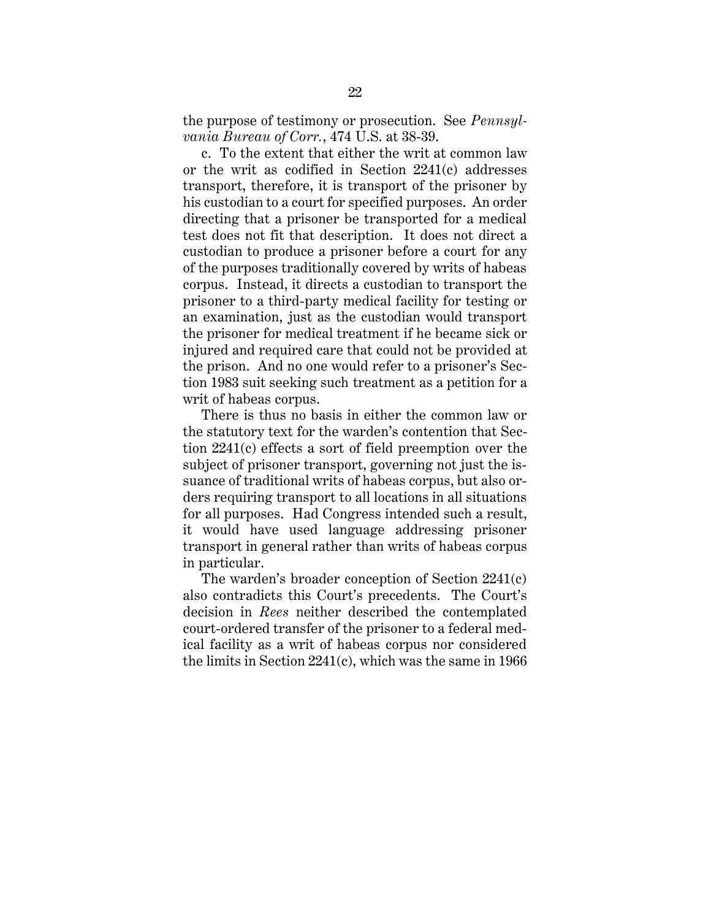the purpose of testimony or prosecution. See *Pennsylvania Bureau of Corr.*, 474 U.S. at 38-39.

c. To the extent that either the writ at common law or the writ as codified in Section 2241(c) addresses transport, therefore, it is transport of the prisoner by his custodian to a court for specified purposes. An order directing that a prisoner be transported for a medical test does not fit that description. It does not direct a custodian to produce a prisoner before a court for any of the purposes traditionally covered by writs of habeas corpus. Instead, it directs a custodian to transport the prisoner to a third-party medical facility for testing or an examination, just as the custodian would transport the prisoner for medical treatment if he became sick or injured and required care that could not be provided at the prison. And no one would refer to a prisoner's Section 1983 suit seeking such treatment as a petition for a writ of habeas corpus.

There is thus no basis in either the common law or the statutory text for the warden's contention that Section 2241(c) effects a sort of field preemption over the subject of prisoner transport, governing not just the issuance of traditional writs of habeas corpus, but also orders requiring transport to all locations in all situations for all purposes. Had Congress intended such a result, it would have used language addressing prisoner transport in general rather than writs of habeas corpus in particular.

The warden's broader conception of Section 2241(c) also contradicts this Court's precedents. The Court's decision in *Rees* neither described the contemplated court-ordered transfer of the prisoner to a federal medical facility as a writ of habeas corpus nor considered the limits in Section 2241(c), which was the same in 1966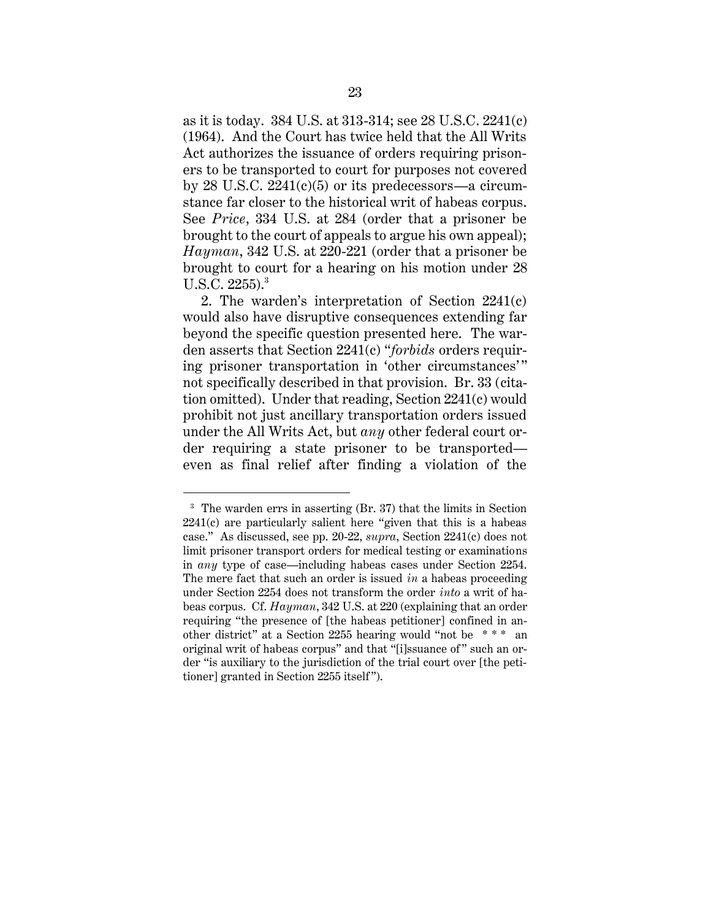as it is today. 384 U.S. at 313-314; see 28 U.S.C. 2241(c) (1964). And the Court has twice held that the All Writs Act authorizes the issuance of orders requiring prisoners to be transported to court for purposes not covered by  $28$  U.S.C.  $2241(c)(5)$  or its predecessors—a circumstance far closer to the historical writ of habeas corpus. See *Price*, 334 U.S. at 284 (order that a prisoner be brought to the court of appeals to argue his own appeal); *Hayman*, 342 U.S. at 220-221 (order that a prisoner be brought to court for a hearing on his motion under 28 U.S.C. 2255).<sup>3</sup>

2. The warden's interpretation of Section 2241(c) would also have disruptive consequences extending far beyond the specific question presented here. The warden asserts that Section 2241(c) "*forbids* orders requiring prisoner transportation in 'other circumstances' " not specifically described in that provision. Br. 33 (citation omitted). Under that reading, Section 2241(c) would prohibit not just ancillary transportation orders issued under the All Writs Act, but *any* other federal court order requiring a state prisoner to be transported even as final relief after finding a violation of the

<sup>&</sup>lt;sup>3</sup> The warden errs in asserting (Br. 37) that the limits in Section 2241(c) are particularly salient here "given that this is a habeas case." As discussed, see pp. 20-22, *supra*, Section 2241(c) does not limit prisoner transport orders for medical testing or examinations in *any* type of case—including habeas cases under Section 2254. The mere fact that such an order is issued *in* a habeas proceeding under Section 2254 does not transform the order *into* a writ of habeas corpus. Cf. *Hayman*, 342 U.S. at 220 (explaining that an order requiring "the presence of [the habeas petitioner] confined in another district" at a Section 2255 hearing would "not be \* \* \* an original writ of habeas corpus" and that "[i]ssuance of " such an order "is auxiliary to the jurisdiction of the trial court over [the petitioner] granted in Section 2255 itself").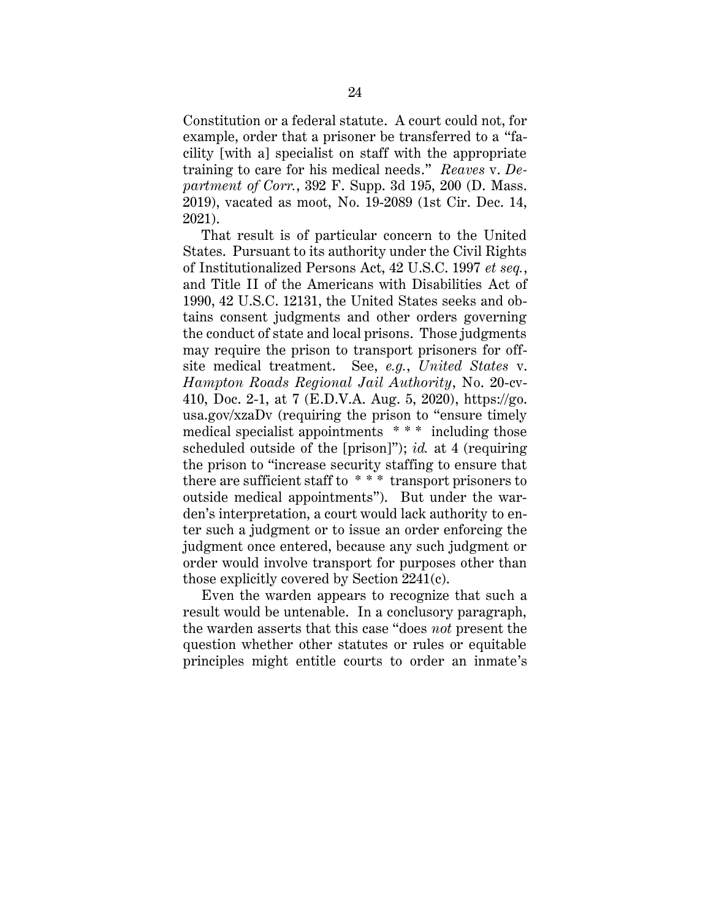Constitution or a federal statute. A court could not, for example, order that a prisoner be transferred to a "facility [with a] specialist on staff with the appropriate training to care for his medical needs." *Reaves* v. *Department of Corr.*, 392 F. Supp. 3d 195, 200 (D. Mass. 2019), vacated as moot, No. 19-2089 (1st Cir. Dec. 14, 2021).

That result is of particular concern to the United States. Pursuant to its authority under the Civil Rights of Institutionalized Persons Act, 42 U.S.C. 1997 *et seq.*, and Title II of the Americans with Disabilities Act of 1990, 42 U.S.C. 12131, the United States seeks and obtains consent judgments and other orders governing the conduct of state and local prisons. Those judgments may require the prison to transport prisoners for offsite medical treatment. See, *e.g.*, *United States* v. *Hampton Roads Regional Jail Authority*, No. 20-cv-410, Doc. 2-1, at 7 (E.D.V.A. Aug. 5, 2020), https://go. usa.gov/xzaDv (requiring the prison to "ensure timely medical specialist appointments \* \* \* including those scheduled outside of the [prison]"); *id.* at 4 (requiring the prison to "increase security staffing to ensure that there are sufficient staff to \* \* \* transport prisoners to outside medical appointments"). But under the warden's interpretation, a court would lack authority to enter such a judgment or to issue an order enforcing the judgment once entered, because any such judgment or order would involve transport for purposes other than those explicitly covered by Section 2241(c).

Even the warden appears to recognize that such a result would be untenable. In a conclusory paragraph, the warden asserts that this case "does *not* present the question whether other statutes or rules or equitable principles might entitle courts to order an inmate's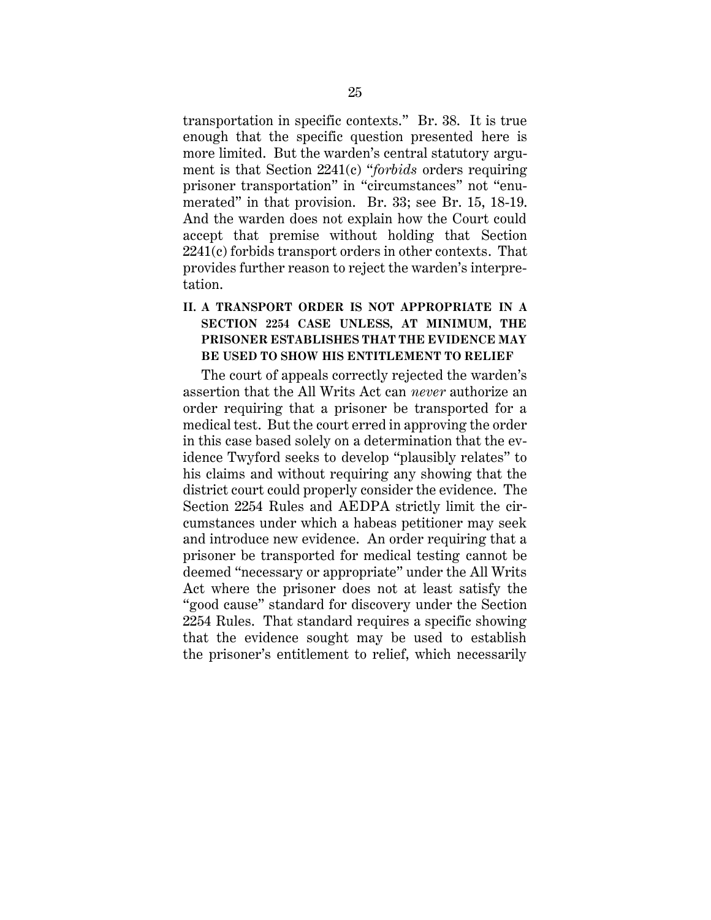transportation in specific contexts." Br. 38. It is true enough that the specific question presented here is more limited. But the warden's central statutory argument is that Section 2241(c) "*forbids* orders requiring prisoner transportation" in "circumstances" not "enumerated" in that provision. Br. 33; see Br. 15, 18-19. And the warden does not explain how the Court could accept that premise without holding that Section 2241(c) forbids transport orders in other contexts. That provides further reason to reject the warden's interpretation.

## <span id="page-31-0"></span>**II. A TRANSPORT ORDER IS NOT APPROPRIATE IN A SECTION 2254 CASE UNLESS, AT MINIMUM, THE PRISONER ESTABLISHES THAT THE EVIDENCE MAY BE USED TO SHOW HIS ENTITLEMENT TO RELIEF**

The court of appeals correctly rejected the warden's assertion that the All Writs Act can *never* authorize an order requiring that a prisoner be transported for a medical test. But the court erred in approving the order in this case based solely on a determination that the evidence Twyford seeks to develop "plausibly relates" to his claims and without requiring any showing that the district court could properly consider the evidence. The Section 2254 Rules and AEDPA strictly limit the circumstances under which a habeas petitioner may seek and introduce new evidence. An order requiring that a prisoner be transported for medical testing cannot be deemed "necessary or appropriate" under the All Writs Act where the prisoner does not at least satisfy the "good cause" standard for discovery under the Section 2254 Rules. That standard requires a specific showing that the evidence sought may be used to establish the prisoner's entitlement to relief, which necessarily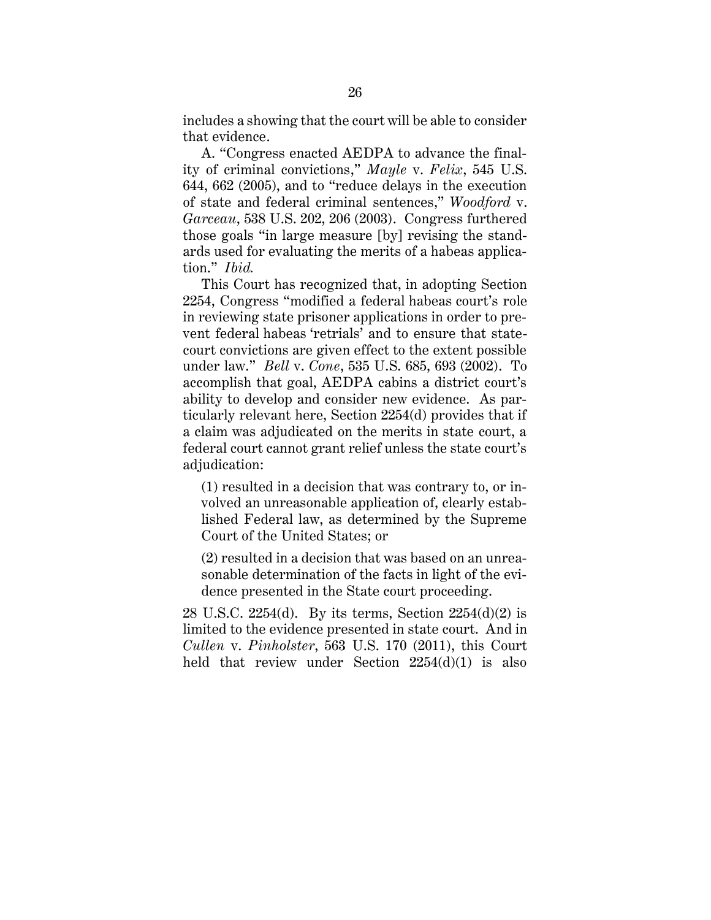includes a showing that the court will be able to consider that evidence.

A. "Congress enacted AEDPA to advance the finality of criminal convictions," *Mayle* v. *Felix*, 545 U.S. 644, 662 (2005), and to "reduce delays in the execution of state and federal criminal sentences," *Woodford* v. *Garceau*, 538 U.S. 202, 206 (2003). Congress furthered those goals "in large measure [by] revising the standards used for evaluating the merits of a habeas application." *Ibid.*

This Court has recognized that, in adopting Section 2254, Congress "modified a federal habeas court's role in reviewing state prisoner applications in order to prevent federal habeas 'retrials' and to ensure that statecourt convictions are given effect to the extent possible under law." *Bell* v. *Cone*, 535 U.S. 685, 693 (2002). To accomplish that goal, AEDPA cabins a district court's ability to develop and consider new evidence. As particularly relevant here, Section 2254(d) provides that if a claim was adjudicated on the merits in state court, a federal court cannot grant relief unless the state court's adjudication:

(1) resulted in a decision that was contrary to, or involved an unreasonable application of, clearly established Federal law, as determined by the Supreme Court of the United States; or

(2) resulted in a decision that was based on an unreasonable determination of the facts in light of the evidence presented in the State court proceeding.

28 U.S.C. 2254(d). By its terms, Section 2254(d)(2) is limited to the evidence presented in state court. And in *Cullen* v. *Pinholster*, 563 U.S. 170 (2011), this Court held that review under Section 2254(d)(1) is also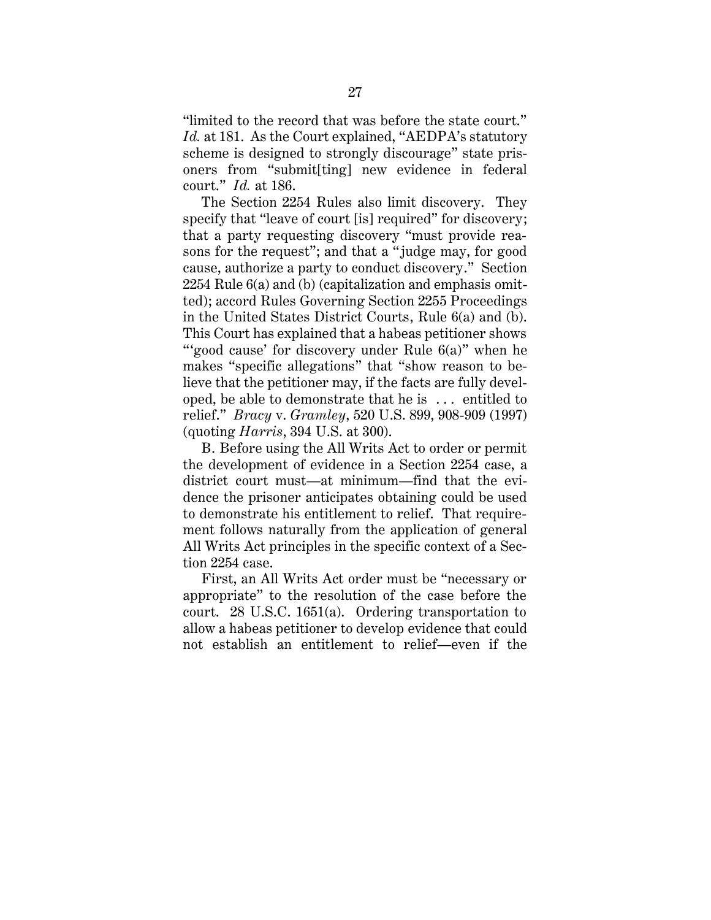"limited to the record that was before the state court." Id. at 181. As the Court explained, "AEDPA's statutory scheme is designed to strongly discourage" state prisoners from "submit[ting] new evidence in federal court." *Id.* at 186.

The Section 2254 Rules also limit discovery. They specify that "leave of court [is] required" for discovery; that a party requesting discovery "must provide reasons for the request"; and that a " judge may, for good cause, authorize a party to conduct discovery." Section 2254 Rule 6(a) and (b) (capitalization and emphasis omitted); accord Rules Governing Section 2255 Proceedings in the United States District Courts, Rule 6(a) and (b). This Court has explained that a habeas petitioner shows "'good cause' for discovery under Rule 6(a)" when he makes "specific allegations" that "show reason to believe that the petitioner may, if the facts are fully developed, be able to demonstrate that he is . . . entitled to relief." *Bracy* v. *Gramley*, 520 U.S. 899, 908-909 (1997) (quoting *Harris*, 394 U.S. at 300).

B. Before using the All Writs Act to order or permit the development of evidence in a Section 2254 case, a district court must—at minimum—find that the evidence the prisoner anticipates obtaining could be used to demonstrate his entitlement to relief. That requirement follows naturally from the application of general All Writs Act principles in the specific context of a Section 2254 case.

First, an All Writs Act order must be "necessary or appropriate" to the resolution of the case before the court. 28 U.S.C. 1651(a). Ordering transportation to allow a habeas petitioner to develop evidence that could not establish an entitlement to relief—even if the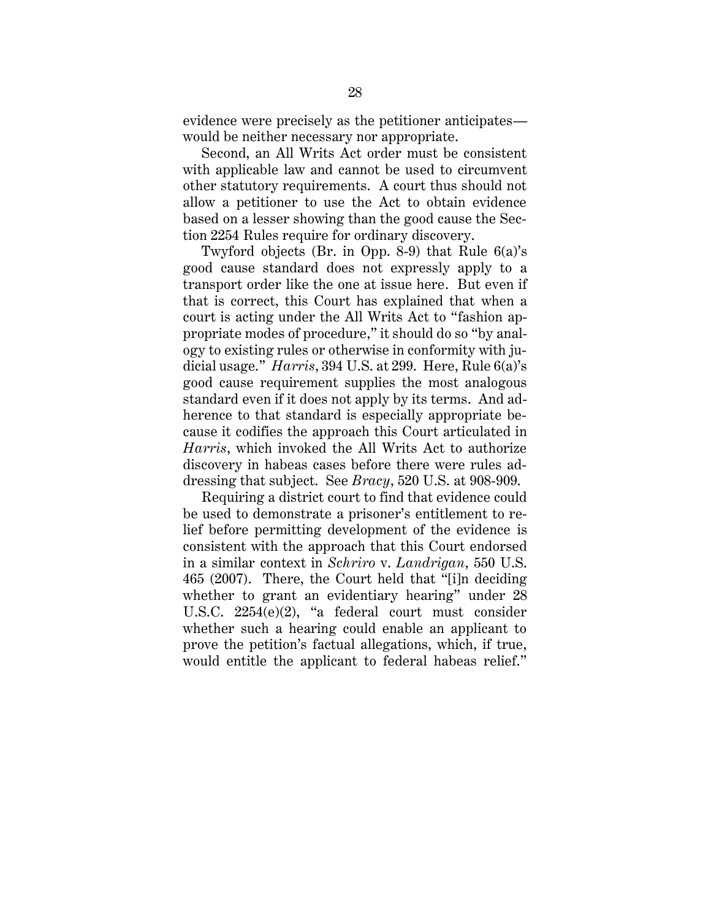evidence were precisely as the petitioner anticipates would be neither necessary nor appropriate.

Second, an All Writs Act order must be consistent with applicable law and cannot be used to circumvent other statutory requirements. A court thus should not allow a petitioner to use the Act to obtain evidence based on a lesser showing than the good cause the Section 2254 Rules require for ordinary discovery.

Twyford objects (Br. in Opp. 8-9) that Rule 6(a)'s good cause standard does not expressly apply to a transport order like the one at issue here. But even if that is correct, this Court has explained that when a court is acting under the All Writs Act to "fashion appropriate modes of procedure," it should do so "by analogy to existing rules or otherwise in conformity with judicial usage." *Harris*, 394 U.S. at 299. Here, Rule 6(a)'s good cause requirement supplies the most analogous standard even if it does not apply by its terms. And adherence to that standard is especially appropriate because it codifies the approach this Court articulated in *Harris*, which invoked the All Writs Act to authorize discovery in habeas cases before there were rules addressing that subject. See *Bracy*, 520 U.S. at 908-909.

Requiring a district court to find that evidence could be used to demonstrate a prisoner's entitlement to relief before permitting development of the evidence is consistent with the approach that this Court endorsed in a similar context in *Schriro* v. *Landrigan*, 550 U.S. 465 (2007). There, the Court held that "[i]n deciding whether to grant an evidentiary hearing" under 28 U.S.C. 2254(e)(2), "a federal court must consider whether such a hearing could enable an applicant to prove the petition's factual allegations, which, if true, would entitle the applicant to federal habeas relief."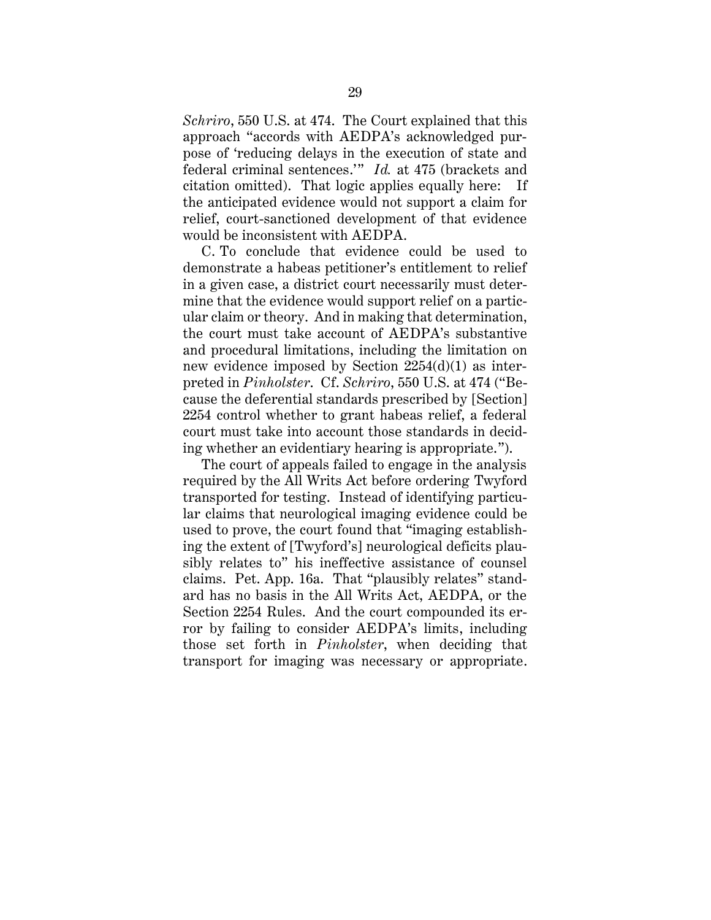*Schriro*, 550 U.S. at 474. The Court explained that this approach "accords with AEDPA's acknowledged purpose of 'reducing delays in the execution of state and federal criminal sentences.'" *Id.* at 475 (brackets and citation omitted). That logic applies equally here: If the anticipated evidence would not support a claim for relief, court-sanctioned development of that evidence would be inconsistent with AEDPA.

C. To conclude that evidence could be used to demonstrate a habeas petitioner's entitlement to relief in a given case, a district court necessarily must determine that the evidence would support relief on a particular claim or theory. And in making that determination, the court must take account of AEDPA's substantive and procedural limitations, including the limitation on new evidence imposed by Section 2254(d)(1) as interpreted in *Pinholster*. Cf. *Schriro*, 550 U.S. at 474 ("Because the deferential standards prescribed by [Section] 2254 control whether to grant habeas relief, a federal court must take into account those standards in deciding whether an evidentiary hearing is appropriate.").

The court of appeals failed to engage in the analysis required by the All Writs Act before ordering Twyford transported for testing. Instead of identifying particular claims that neurological imaging evidence could be used to prove, the court found that "imaging establishing the extent of [Twyford's] neurological deficits plausibly relates to" his ineffective assistance of counsel claims. Pet. App. 16a. That "plausibly relates" standard has no basis in the All Writs Act, AEDPA, or the Section 2254 Rules. And the court compounded its error by failing to consider AEDPA's limits, including those set forth in *Pinholster*, when deciding that transport for imaging was necessary or appropriate.